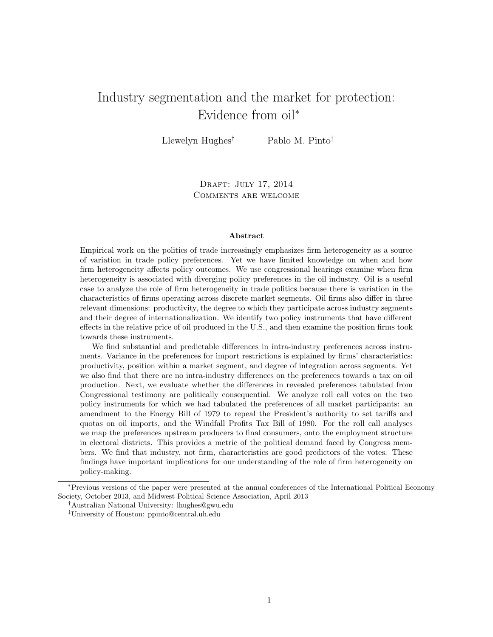# Industry segmentation and the market for protection: Evidence from oil<sup>∗</sup>

Llewelyn Hughes<sup>†</sup> Pablo M. Pinto<sup>‡</sup>

DRAFT: JULY 17, 2014 Comments are welcome

#### Abstract

Empirical work on the politics of trade increasingly emphasizes firm heterogeneity as a source of variation in trade policy preferences. Yet we have limited knowledge on when and how firm heterogeneity affects policy outcomes. We use congressional hearings examine when firm heterogeneity is associated with diverging policy preferences in the oil industry. Oil is a useful case to analyze the role of firm heterogeneity in trade politics because there is variation in the characteristics of firms operating across discrete market segments. Oil firms also differ in three relevant dimensions: productivity, the degree to which they participate across industry segments and their degree of internationalization. We identify two policy instruments that have different effects in the relative price of oil produced in the U.S., and then examine the position firms took towards these instruments.

We find substantial and predictable differences in intra-industry preferences across instruments. Variance in the preferences for import restrictions is explained by firms' characteristics: productivity, position within a market segment, and degree of integration across segments. Yet we also find that there are no intra-industry differences on the preferences towards a tax on oil production. Next, we evaluate whether the differences in revealed preferences tabulated from Congressional testimony are politically consequential. We analyze roll call votes on the two policy instruments for which we had tabulated the preferences of all market participants: an amendment to the Energy Bill of 1979 to repeal the President's authority to set tariffs and quotas on oil imports, and the Windfall Profits Tax Bill of 1980. For the roll call analyses we map the preferences upstream producers to final consumers, onto the employment structure in electoral districts. This provides a metric of the political demand faced by Congress members. We find that industry, not firm, characteristics are good predictors of the votes. These findings have important implications for our understanding of the role of firm heterogeneity on policy-making.

<sup>∗</sup>Previous versions of the paper were presented at the annual conferences of the International Political Economy Society, October 2013, and Midwest Political Science Association, April 2013

<sup>†</sup>Australian National University: lhughes@gwu.edu

<sup>‡</sup>University of Houston: ppinto@central.uh.edu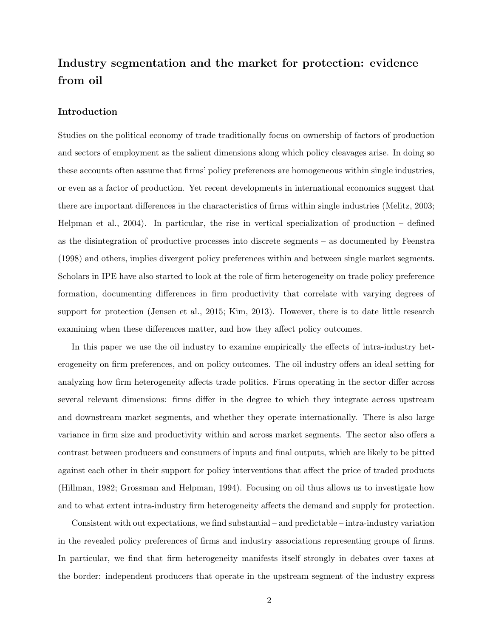# Industry segmentation and the market for protection: evidence from oil

## Introduction

Studies on the political economy of trade traditionally focus on ownership of factors of production and sectors of employment as the salient dimensions along which policy cleavages arise. In doing so these accounts often assume that firms' policy preferences are homogeneous within single industries, or even as a factor of production. Yet recent developments in international economics suggest that there are important differences in the characteristics of firms within single industries (Melitz, 2003; Helpman et al., 2004). In particular, the rise in vertical specialization of production – defined as the disintegration of productive processes into discrete segments – as documented by Feenstra (1998) and others, implies divergent policy preferences within and between single market segments. Scholars in IPE have also started to look at the role of firm heterogeneity on trade policy preference formation, documenting differences in firm productivity that correlate with varying degrees of support for protection (Jensen et al., 2015; Kim, 2013). However, there is to date little research examining when these differences matter, and how they affect policy outcomes.

In this paper we use the oil industry to examine empirically the effects of intra-industry heterogeneity on firm preferences, and on policy outcomes. The oil industry offers an ideal setting for analyzing how firm heterogeneity affects trade politics. Firms operating in the sector differ across several relevant dimensions: firms differ in the degree to which they integrate across upstream and downstream market segments, and whether they operate internationally. There is also large variance in firm size and productivity within and across market segments. The sector also offers a contrast between producers and consumers of inputs and final outputs, which are likely to be pitted against each other in their support for policy interventions that affect the price of traded products (Hillman, 1982; Grossman and Helpman, 1994). Focusing on oil thus allows us to investigate how and to what extent intra-industry firm heterogeneity affects the demand and supply for protection.

Consistent with out expectations, we find substantial – and predictable – intra-industry variation in the revealed policy preferences of firms and industry associations representing groups of firms. In particular, we find that firm heterogeneity manifests itself strongly in debates over taxes at the border: independent producers that operate in the upstream segment of the industry express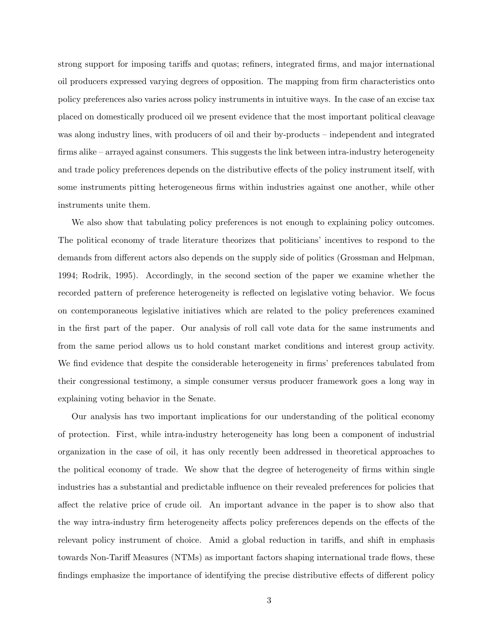strong support for imposing tariffs and quotas; refiners, integrated firms, and major international oil producers expressed varying degrees of opposition. The mapping from firm characteristics onto policy preferences also varies across policy instruments in intuitive ways. In the case of an excise tax placed on domestically produced oil we present evidence that the most important political cleavage was along industry lines, with producers of oil and their by-products – independent and integrated firms alike – arrayed against consumers. This suggests the link between intra-industry heterogeneity and trade policy preferences depends on the distributive effects of the policy instrument itself, with some instruments pitting heterogeneous firms within industries against one another, while other instruments unite them.

We also show that tabulating policy preferences is not enough to explaining policy outcomes. The political economy of trade literature theorizes that politicians' incentives to respond to the demands from different actors also depends on the supply side of politics (Grossman and Helpman, 1994; Rodrik, 1995). Accordingly, in the second section of the paper we examine whether the recorded pattern of preference heterogeneity is reflected on legislative voting behavior. We focus on contemporaneous legislative initiatives which are related to the policy preferences examined in the first part of the paper. Our analysis of roll call vote data for the same instruments and from the same period allows us to hold constant market conditions and interest group activity. We find evidence that despite the considerable heterogeneity in firms' preferences tabulated from their congressional testimony, a simple consumer versus producer framework goes a long way in explaining voting behavior in the Senate.

Our analysis has two important implications for our understanding of the political economy of protection. First, while intra-industry heterogeneity has long been a component of industrial organization in the case of oil, it has only recently been addressed in theoretical approaches to the political economy of trade. We show that the degree of heterogeneity of firms within single industries has a substantial and predictable influence on their revealed preferences for policies that affect the relative price of crude oil. An important advance in the paper is to show also that the way intra-industry firm heterogeneity affects policy preferences depends on the effects of the relevant policy instrument of choice. Amid a global reduction in tariffs, and shift in emphasis towards Non-Tariff Measures (NTMs) as important factors shaping international trade flows, these findings emphasize the importance of identifying the precise distributive effects of different policy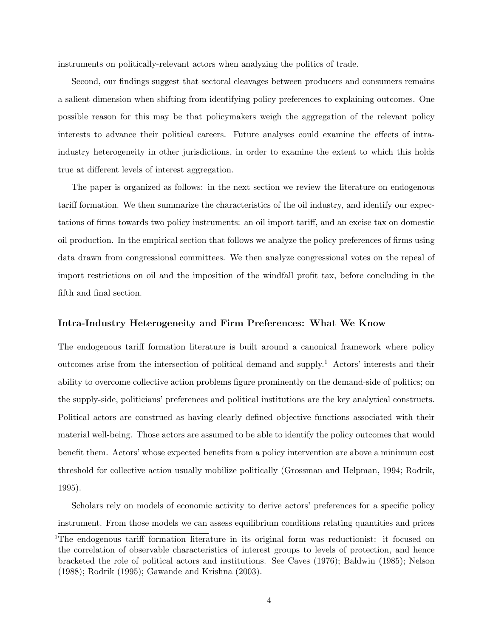instruments on politically-relevant actors when analyzing the politics of trade.

Second, our findings suggest that sectoral cleavages between producers and consumers remains a salient dimension when shifting from identifying policy preferences to explaining outcomes. One possible reason for this may be that policymakers weigh the aggregation of the relevant policy interests to advance their political careers. Future analyses could examine the effects of intraindustry heterogeneity in other jurisdictions, in order to examine the extent to which this holds true at different levels of interest aggregation.

The paper is organized as follows: in the next section we review the literature on endogenous tariff formation. We then summarize the characteristics of the oil industry, and identify our expectations of firms towards two policy instruments: an oil import tariff, and an excise tax on domestic oil production. In the empirical section that follows we analyze the policy preferences of firms using data drawn from congressional committees. We then analyze congressional votes on the repeal of import restrictions on oil and the imposition of the windfall profit tax, before concluding in the fifth and final section.

## Intra-Industry Heterogeneity and Firm Preferences: What We Know

The endogenous tariff formation literature is built around a canonical framework where policy outcomes arise from the intersection of political demand and supply.<sup>1</sup> Actors' interests and their ability to overcome collective action problems figure prominently on the demand-side of politics; on the supply-side, politicians' preferences and political institutions are the key analytical constructs. Political actors are construed as having clearly defined objective functions associated with their material well-being. Those actors are assumed to be able to identify the policy outcomes that would benefit them. Actors' whose expected benefits from a policy intervention are above a minimum cost threshold for collective action usually mobilize politically (Grossman and Helpman, 1994; Rodrik, 1995).

Scholars rely on models of economic activity to derive actors' preferences for a specific policy instrument. From those models we can assess equilibrium conditions relating quantities and prices

<sup>1</sup>The endogenous tariff formation literature in its original form was reductionist: it focused on the correlation of observable characteristics of interest groups to levels of protection, and hence bracketed the role of political actors and institutions. See Caves (1976); Baldwin (1985); Nelson (1988); Rodrik (1995); Gawande and Krishna (2003).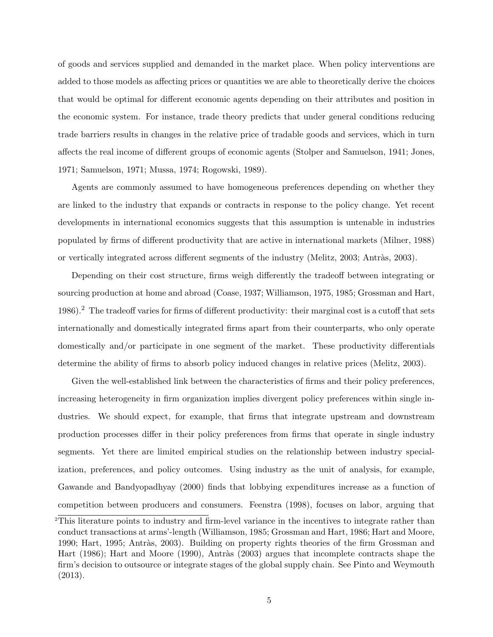of goods and services supplied and demanded in the market place. When policy interventions are added to those models as affecting prices or quantities we are able to theoretically derive the choices that would be optimal for different economic agents depending on their attributes and position in the economic system. For instance, trade theory predicts that under general conditions reducing trade barriers results in changes in the relative price of tradable goods and services, which in turn affects the real income of different groups of economic agents (Stolper and Samuelson, 1941; Jones, 1971; Samuelson, 1971; Mussa, 1974; Rogowski, 1989).

Agents are commonly assumed to have homogeneous preferences depending on whether they are linked to the industry that expands or contracts in response to the policy change. Yet recent developments in international economics suggests that this assumption is untenable in industries populated by firms of different productivity that are active in international markets (Milner, 1988) or vertically integrated across different segments of the industry (Melitz, 2003; Antràs, 2003).

Depending on their cost structure, firms weigh differently the tradeoff between integrating or sourcing production at home and abroad (Coase, 1937; Williamson, 1975, 1985; Grossman and Hart, 1986).<sup>2</sup> The tradeoff varies for firms of different productivity: their marginal cost is a cutoff that sets internationally and domestically integrated firms apart from their counterparts, who only operate domestically and/or participate in one segment of the market. These productivity differentials determine the ability of firms to absorb policy induced changes in relative prices (Melitz, 2003).

Given the well-established link between the characteristics of firms and their policy preferences, increasing heterogeneity in firm organization implies divergent policy preferences within single industries. We should expect, for example, that firms that integrate upstream and downstream production processes differ in their policy preferences from firms that operate in single industry segments. Yet there are limited empirical studies on the relationship between industry specialization, preferences, and policy outcomes. Using industry as the unit of analysis, for example, Gawande and Bandyopadhyay (2000) finds that lobbying expenditures increase as a function of competition between producers and consumers. Feenstra (1998), focuses on labor, arguing that

<sup>&</sup>lt;sup>2</sup>This literature points to industry and firm-level variance in the incentives to integrate rather than conduct transactions at arms'-length (Williamson, 1985; Grossman and Hart, 1986; Hart and Moore, 1990; Hart, 1995; Antràs, 2003). Building on property rights theories of the firm Grossman and Hart (1986); Hart and Moore (1990), Antràs (2003) argues that incomplete contracts shape the firm's decision to outsource or integrate stages of the global supply chain. See Pinto and Weymouth (2013).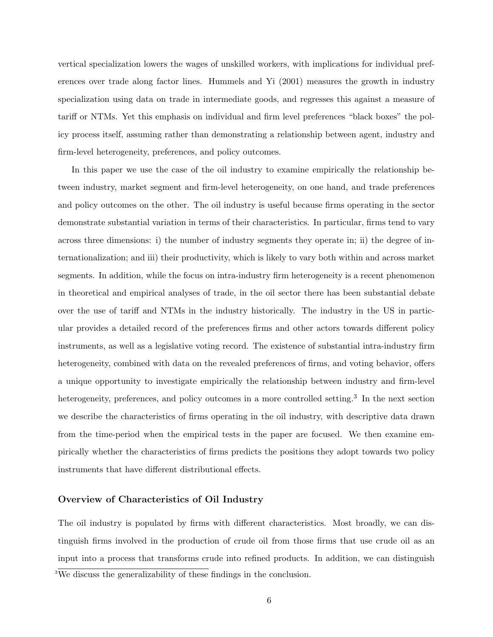vertical specialization lowers the wages of unskilled workers, with implications for individual preferences over trade along factor lines. Hummels and Yi (2001) measures the growth in industry specialization using data on trade in intermediate goods, and regresses this against a measure of tariff or NTMs. Yet this emphasis on individual and firm level preferences "black boxes" the policy process itself, assuming rather than demonstrating a relationship between agent, industry and firm-level heterogeneity, preferences, and policy outcomes.

In this paper we use the case of the oil industry to examine empirically the relationship between industry, market segment and firm-level heterogeneity, on one hand, and trade preferences and policy outcomes on the other. The oil industry is useful because firms operating in the sector demonstrate substantial variation in terms of their characteristics. In particular, firms tend to vary across three dimensions: i) the number of industry segments they operate in; ii) the degree of internationalization; and iii) their productivity, which is likely to vary both within and across market segments. In addition, while the focus on intra-industry firm heterogeneity is a recent phenomenon in theoretical and empirical analyses of trade, in the oil sector there has been substantial debate over the use of tariff and NTMs in the industry historically. The industry in the US in particular provides a detailed record of the preferences firms and other actors towards different policy instruments, as well as a legislative voting record. The existence of substantial intra-industry firm heterogeneity, combined with data on the revealed preferences of firms, and voting behavior, offers a unique opportunity to investigate empirically the relationship between industry and firm-level heterogeneity, preferences, and policy outcomes in a more controlled setting.<sup>3</sup> In the next section we describe the characteristics of firms operating in the oil industry, with descriptive data drawn from the time-period when the empirical tests in the paper are focused. We then examine empirically whether the characteristics of firms predicts the positions they adopt towards two policy instruments that have different distributional effects.

## Overview of Characteristics of Oil Industry

The oil industry is populated by firms with different characteristics. Most broadly, we can distinguish firms involved in the production of crude oil from those firms that use crude oil as an input into a process that transforms crude into refined products. In addition, we can distinguish

<sup>3</sup>We discuss the generalizability of these findings in the conclusion.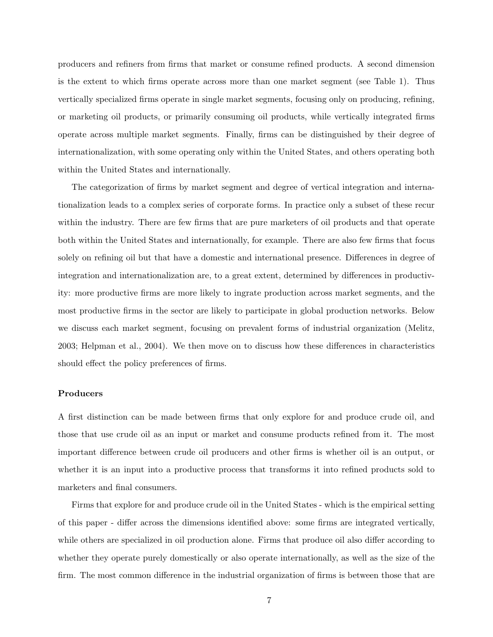producers and refiners from firms that market or consume refined products. A second dimension is the extent to which firms operate across more than one market segment (see Table 1). Thus vertically specialized firms operate in single market segments, focusing only on producing, refining, or marketing oil products, or primarily consuming oil products, while vertically integrated firms operate across multiple market segments. Finally, firms can be distinguished by their degree of internationalization, with some operating only within the United States, and others operating both within the United States and internationally.

The categorization of firms by market segment and degree of vertical integration and internationalization leads to a complex series of corporate forms. In practice only a subset of these recur within the industry. There are few firms that are pure marketers of oil products and that operate both within the United States and internationally, for example. There are also few firms that focus solely on refining oil but that have a domestic and international presence. Differences in degree of integration and internationalization are, to a great extent, determined by differences in productivity: more productive firms are more likely to ingrate production across market segments, and the most productive firms in the sector are likely to participate in global production networks. Below we discuss each market segment, focusing on prevalent forms of industrial organization (Melitz, 2003; Helpman et al., 2004). We then move on to discuss how these differences in characteristics should effect the policy preferences of firms.

## Producers

A first distinction can be made between firms that only explore for and produce crude oil, and those that use crude oil as an input or market and consume products refined from it. The most important difference between crude oil producers and other firms is whether oil is an output, or whether it is an input into a productive process that transforms it into refined products sold to marketers and final consumers.

Firms that explore for and produce crude oil in the United States - which is the empirical setting of this paper - differ across the dimensions identified above: some firms are integrated vertically, while others are specialized in oil production alone. Firms that produce oil also differ according to whether they operate purely domestically or also operate internationally, as well as the size of the firm. The most common difference in the industrial organization of firms is between those that are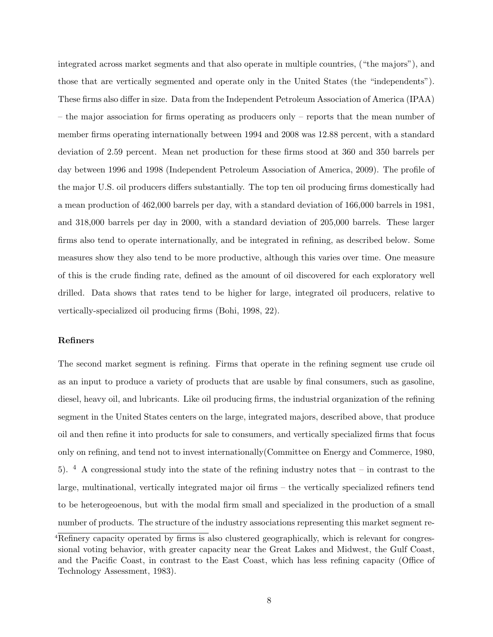integrated across market segments and that also operate in multiple countries, ("the majors"), and those that are vertically segmented and operate only in the United States (the "independents"). These firms also differ in size. Data from the Independent Petroleum Association of America (IPAA) – the major association for firms operating as producers only – reports that the mean number of member firms operating internationally between 1994 and 2008 was 12.88 percent, with a standard deviation of 2.59 percent. Mean net production for these firms stood at 360 and 350 barrels per day between 1996 and 1998 (Independent Petroleum Association of America, 2009). The profile of the major U.S. oil producers differs substantially. The top ten oil producing firms domestically had a mean production of 462,000 barrels per day, with a standard deviation of 166,000 barrels in 1981, and 318,000 barrels per day in 2000, with a standard deviation of 205,000 barrels. These larger firms also tend to operate internationally, and be integrated in refining, as described below. Some measures show they also tend to be more productive, although this varies over time. One measure of this is the crude finding rate, defined as the amount of oil discovered for each exploratory well drilled. Data shows that rates tend to be higher for large, integrated oil producers, relative to vertically-specialized oil producing firms (Bohi, 1998, 22).

## Refiners

The second market segment is refining. Firms that operate in the refining segment use crude oil as an input to produce a variety of products that are usable by final consumers, such as gasoline, diesel, heavy oil, and lubricants. Like oil producing firms, the industrial organization of the refining segment in the United States centers on the large, integrated majors, described above, that produce oil and then refine it into products for sale to consumers, and vertically specialized firms that focus only on refining, and tend not to invest internationally(Committee on Energy and Commerce, 1980, 5).  $4$  A congressional study into the state of the refining industry notes that – in contrast to the large, multinational, vertically integrated major oil firms – the vertically specialized refiners tend to be heterogeoenous, but with the modal firm small and specialized in the production of a small number of products. The structure of the industry associations representing this market segment re-

 $4R$ efinery capacity operated by firms is also clustered geographically, which is relevant for congressional voting behavior, with greater capacity near the Great Lakes and Midwest, the Gulf Coast, and the Pacific Coast, in contrast to the East Coast, which has less refining capacity (Office of Technology Assessment, 1983).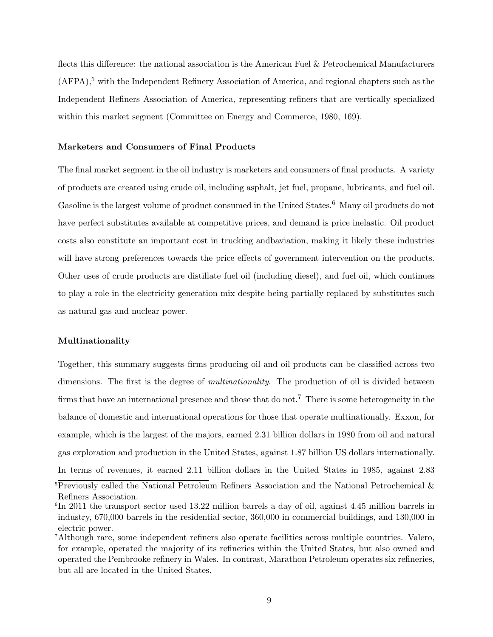flects this difference: the national association is the American Fuel & Petrochemical Manufacturers  $(AFPA)$ ,<sup>5</sup> with the Independent Refinery Association of America, and regional chapters such as the Independent Refiners Association of America, representing refiners that are vertically specialized within this market segment (Committee on Energy and Commerce, 1980, 169).

## Marketers and Consumers of Final Products

The final market segment in the oil industry is marketers and consumers of final products. A variety of products are created using crude oil, including asphalt, jet fuel, propane, lubricants, and fuel oil. Gasoline is the largest volume of product consumed in the United States.<sup>6</sup> Many oil products do not have perfect substitutes available at competitive prices, and demand is price inelastic. Oil product costs also constitute an important cost in trucking andbaviation, making it likely these industries will have strong preferences towards the price effects of government intervention on the products. Other uses of crude products are distillate fuel oil (including diesel), and fuel oil, which continues to play a role in the electricity generation mix despite being partially replaced by substitutes such as natural gas and nuclear power.

#### Multinationality

Together, this summary suggests firms producing oil and oil products can be classified across two dimensions. The first is the degree of *multinationality*. The production of oil is divided between firms that have an international presence and those that do not.<sup>7</sup> There is some heterogeneity in the balance of domestic and international operations for those that operate multinationally. Exxon, for example, which is the largest of the majors, earned 2.31 billion dollars in 1980 from oil and natural gas exploration and production in the United States, against 1.87 billion US dollars internationally. In terms of revenues, it earned 2.11 billion dollars in the United States in 1985, against 2.83

 $5$ Previously called the National Petroleum Refiners Association and the National Petrochemical  $\&$ Refiners Association.

<sup>6</sup> In 2011 the transport sector used 13.22 million barrels a day of oil, against 4.45 million barrels in industry, 670,000 barrels in the residential sector, 360,000 in commercial buildings, and 130,000 in electric power.

<sup>7</sup>Although rare, some independent refiners also operate facilities across multiple countries. Valero, for example, operated the majority of its refineries within the United States, but also owned and operated the Pembrooke refinery in Wales. In contrast, Marathon Petroleum operates six refineries, but all are located in the United States.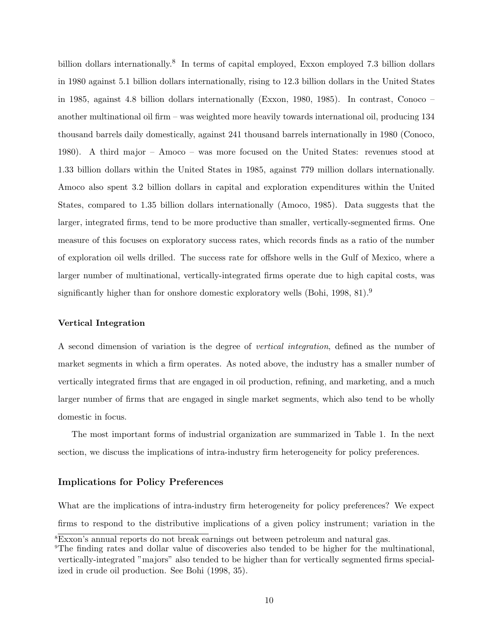billion dollars internationally.<sup>8</sup> In terms of capital employed, Exxon employed 7.3 billion dollars in 1980 against 5.1 billion dollars internationally, rising to 12.3 billion dollars in the United States in 1985, against 4.8 billion dollars internationally (Exxon, 1980, 1985). In contrast, Conoco – another multinational oil firm – was weighted more heavily towards international oil, producing 134 thousand barrels daily domestically, against 241 thousand barrels internationally in 1980 (Conoco, 1980). A third major – Amoco – was more focused on the United States: revenues stood at 1.33 billion dollars within the United States in 1985, against 779 million dollars internationally. Amoco also spent 3.2 billion dollars in capital and exploration expenditures within the United States, compared to 1.35 billion dollars internationally (Amoco, 1985). Data suggests that the larger, integrated firms, tend to be more productive than smaller, vertically-segmented firms. One measure of this focuses on exploratory success rates, which records finds as a ratio of the number of exploration oil wells drilled. The success rate for offshore wells in the Gulf of Mexico, where a larger number of multinational, vertically-integrated firms operate due to high capital costs, was significantly higher than for onshore domestic exploratory wells (Bohi, 1998, 81).<sup>9</sup>

## Vertical Integration

A second dimension of variation is the degree of vertical integration, defined as the number of market segments in which a firm operates. As noted above, the industry has a smaller number of vertically integrated firms that are engaged in oil production, refining, and marketing, and a much larger number of firms that are engaged in single market segments, which also tend to be wholly domestic in focus.

The most important forms of industrial organization are summarized in Table 1. In the next section, we discuss the implications of intra-industry firm heterogeneity for policy preferences.

## Implications for Policy Preferences

What are the implications of intra-industry firm heterogeneity for policy preferences? We expect firms to respond to the distributive implications of a given policy instrument; variation in the

<sup>8</sup>Exxon's annual reports do not break earnings out between petroleum and natural gas.

<sup>9</sup>The finding rates and dollar value of discoveries also tended to be higher for the multinational, vertically-integrated "majors" also tended to be higher than for vertically segmented firms specialized in crude oil production. See Bohi (1998, 35).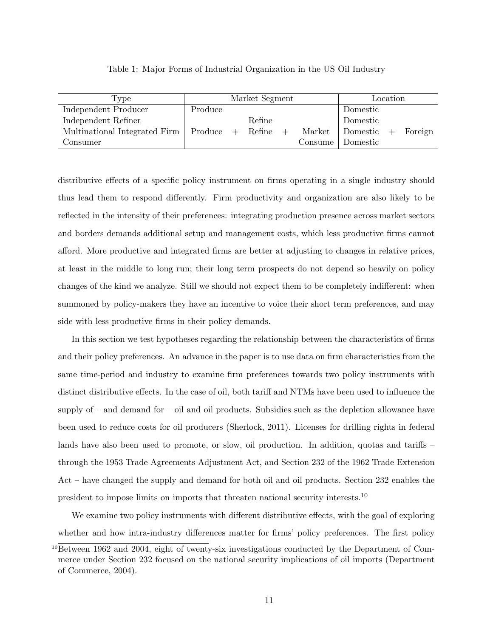| Type                                                  |         | Market Segment |         |            | Location |         |
|-------------------------------------------------------|---------|----------------|---------|------------|----------|---------|
| Independent Producer                                  | Produce |                |         | Domestic   |          |         |
| Independent Refiner                                   |         | Refine         |         | Domestic   |          |         |
| Multinational Integrated Firm $\parallel$ Produce $+$ |         | $Refine +$     | Market  | Domestic + |          | Foreign |
| Consumer                                              |         |                | Consume | Domestic   |          |         |
|                                                       |         |                |         |            |          |         |

Table 1: Major Forms of Industrial Organization in the US Oil Industry

distributive effects of a specific policy instrument on firms operating in a single industry should thus lead them to respond differently. Firm productivity and organization are also likely to be reflected in the intensity of their preferences: integrating production presence across market sectors and borders demands additional setup and management costs, which less productive firms cannot afford. More productive and integrated firms are better at adjusting to changes in relative prices, at least in the middle to long run; their long term prospects do not depend so heavily on policy changes of the kind we analyze. Still we should not expect them to be completely indifferent: when summoned by policy-makers they have an incentive to voice their short term preferences, and may side with less productive firms in their policy demands.

In this section we test hypotheses regarding the relationship between the characteristics of firms and their policy preferences. An advance in the paper is to use data on firm characteristics from the same time-period and industry to examine firm preferences towards two policy instruments with distinct distributive effects. In the case of oil, both tariff and NTMs have been used to influence the supply of  $-$  and demand for  $-$  oil and oil products. Subsidies such as the depletion allowance have been used to reduce costs for oil producers (Sherlock, 2011). Licenses for drilling rights in federal lands have also been used to promote, or slow, oil production. In addition, quotas and tariffs – through the 1953 Trade Agreements Adjustment Act, and Section 232 of the 1962 Trade Extension Act – have changed the supply and demand for both oil and oil products. Section 232 enables the president to impose limits on imports that threaten national security interests.<sup>10</sup>

We examine two policy instruments with different distributive effects, with the goal of exploring whether and how intra-industry differences matter for firms' policy preferences. The first policy

 $10B$ etween 1962 and 2004, eight of twenty-six investigations conducted by the Department of Commerce under Section 232 focused on the national security implications of oil imports (Department of Commerce, 2004).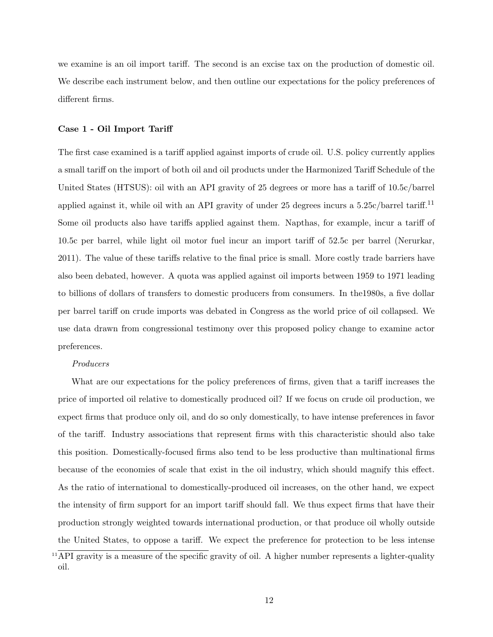we examine is an oil import tariff. The second is an excise tax on the production of domestic oil. We describe each instrument below, and then outline our expectations for the policy preferences of different firms.

## Case 1 - Oil Import Tariff

The first case examined is a tariff applied against imports of crude oil. U.S. policy currently applies a small tariff on the import of both oil and oil products under the Harmonized Tariff Schedule of the United States (HTSUS): oil with an API gravity of 25 degrees or more has a tariff of 10.5c/barrel applied against it, while oil with an API gravity of under 25 degrees incurs a 5.25c/barrel tariff.<sup>11</sup> Some oil products also have tariffs applied against them. Napthas, for example, incur a tariff of 10.5c per barrel, while light oil motor fuel incur an import tariff of 52.5c per barrel (Nerurkar, 2011). The value of these tariffs relative to the final price is small. More costly trade barriers have also been debated, however. A quota was applied against oil imports between 1959 to 1971 leading to billions of dollars of transfers to domestic producers from consumers. In the1980s, a five dollar per barrel tariff on crude imports was debated in Congress as the world price of oil collapsed. We use data drawn from congressional testimony over this proposed policy change to examine actor preferences.

## Producers

What are our expectations for the policy preferences of firms, given that a tariff increases the price of imported oil relative to domestically produced oil? If we focus on crude oil production, we expect firms that produce only oil, and do so only domestically, to have intense preferences in favor of the tariff. Industry associations that represent firms with this characteristic should also take this position. Domestically-focused firms also tend to be less productive than multinational firms because of the economies of scale that exist in the oil industry, which should magnify this effect. As the ratio of international to domestically-produced oil increases, on the other hand, we expect the intensity of firm support for an import tariff should fall. We thus expect firms that have their production strongly weighted towards international production, or that produce oil wholly outside the United States, to oppose a tariff. We expect the preference for protection to be less intense

 $11$ API gravity is a measure of the specific gravity of oil. A higher number represents a lighter-quality oil.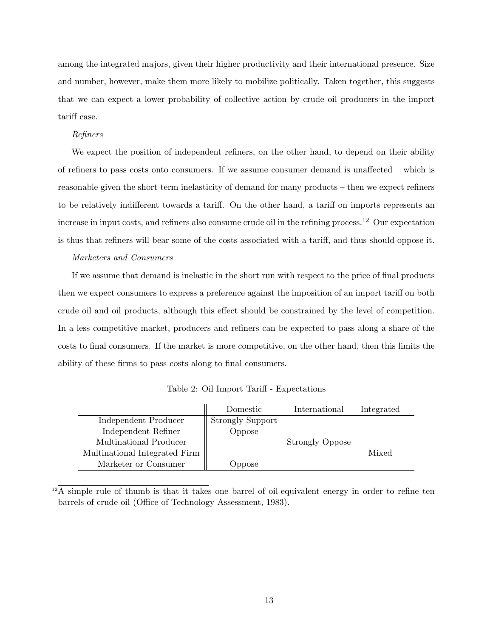among the integrated majors, given their higher productivity and their international presence. Size and number, however, make them more likely to mobilize politically. Taken together, this suggests that we can expect a lower probability of collective action by crude oil producers in the import tariff case.

#### Refiners

We expect the position of independent refiners, on the other hand, to depend on their ability of refiners to pass costs onto consumers. If we assume consumer demand is unaffected – which is reasonable given the short-term inelasticity of demand for many products – then we expect refiners to be relatively indifferent towards a tariff. On the other hand, a tariff on imports represents an increase in input costs, and refiners also consume crude oil in the refining process.<sup>12</sup> Our expectation is thus that refiners will bear some of the costs associated with a tariff, and thus should oppose it.

## Marketers and Consumers

If we assume that demand is inelastic in the short run with respect to the price of final products then we expect consumers to express a preference against the imposition of an import tariff on both crude oil and oil products, although this effect should be constrained by the level of competition. In a less competitive market, producers and refiners can be expected to pass along a share of the costs to final consumers. If the market is more competitive, on the other hand, then this limits the ability of these firms to pass costs along to final consumers.

|                               | Domestic                | International          | Integrated |
|-------------------------------|-------------------------|------------------------|------------|
| Independent Producer          | <b>Strongly Support</b> |                        |            |
| Independent Refiner           | Oppose                  |                        |            |
| Multinational Producer        |                         | <b>Strongly Oppose</b> |            |
| Multinational Integrated Firm |                         |                        | Mixed      |
| Marketer or Consumer          | <b>Oppose</b>           |                        |            |

Table 2: Oil Import Tariff - Expectations

<sup>12</sup>A simple rule of thumb is that it takes one barrel of oil-equivalent energy in order to refine ten barrels of crude oil (Office of Technology Assessment, 1983).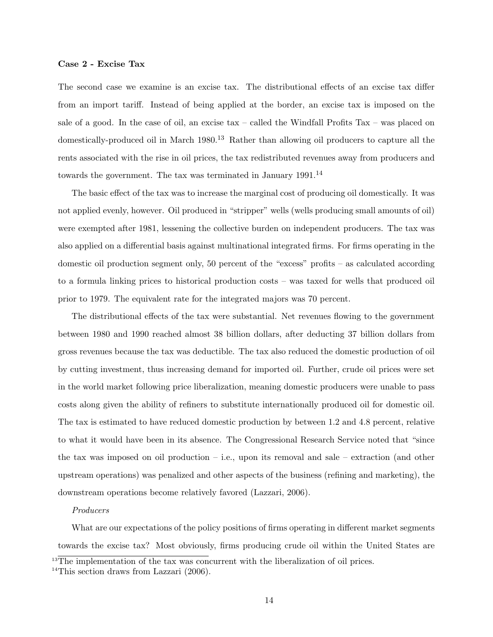#### Case 2 - Excise Tax

The second case we examine is an excise tax. The distributional effects of an excise tax differ from an import tariff. Instead of being applied at the border, an excise tax is imposed on the sale of a good. In the case of oil, an excise tax – called the Windfall Profits Tax – was placed on domestically-produced oil in March 1980.<sup>13</sup> Rather than allowing oil producers to capture all the rents associated with the rise in oil prices, the tax redistributed revenues away from producers and towards the government. The tax was terminated in January  $1991<sup>14</sup>$ 

The basic effect of the tax was to increase the marginal cost of producing oil domestically. It was not applied evenly, however. Oil produced in "stripper" wells (wells producing small amounts of oil) were exempted after 1981, lessening the collective burden on independent producers. The tax was also applied on a differential basis against multinational integrated firms. For firms operating in the domestic oil production segment only, 50 percent of the "excess" profits – as calculated according to a formula linking prices to historical production costs – was taxed for wells that produced oil prior to 1979. The equivalent rate for the integrated majors was 70 percent.

The distributional effects of the tax were substantial. Net revenues flowing to the government between 1980 and 1990 reached almost 38 billion dollars, after deducting 37 billion dollars from gross revenues because the tax was deductible. The tax also reduced the domestic production of oil by cutting investment, thus increasing demand for imported oil. Further, crude oil prices were set in the world market following price liberalization, meaning domestic producers were unable to pass costs along given the ability of refiners to substitute internationally produced oil for domestic oil. The tax is estimated to have reduced domestic production by between 1.2 and 4.8 percent, relative to what it would have been in its absence. The Congressional Research Service noted that "since the tax was imposed on oil production  $-$  i.e., upon its removal and sale  $-$  extraction (and other upstream operations) was penalized and other aspects of the business (refining and marketing), the downstream operations become relatively favored (Lazzari, 2006).

#### Producers

What are our expectations of the policy positions of firms operating in different market segments towards the excise tax? Most obviously, firms producing crude oil within the United States are

<sup>&</sup>lt;sup>13</sup>The implementation of the tax was concurrent with the liberalization of oil prices.

<sup>&</sup>lt;sup>14</sup>This section draws from Lazzari  $(2006)$ .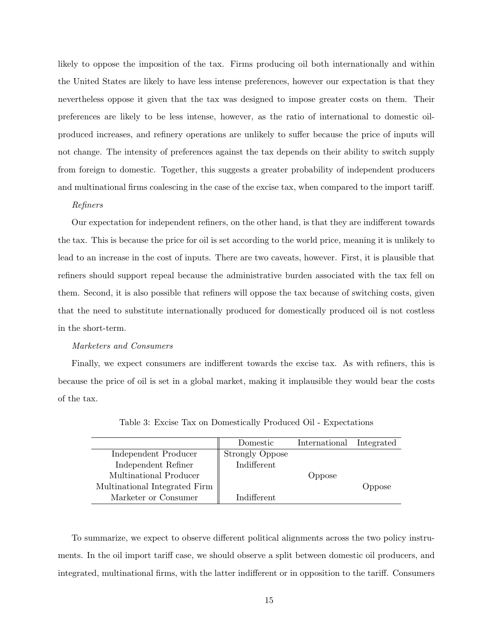likely to oppose the imposition of the tax. Firms producing oil both internationally and within the United States are likely to have less intense preferences, however our expectation is that they nevertheless oppose it given that the tax was designed to impose greater costs on them. Their preferences are likely to be less intense, however, as the ratio of international to domestic oilproduced increases, and refinery operations are unlikely to suffer because the price of inputs will not change. The intensity of preferences against the tax depends on their ability to switch supply from foreign to domestic. Together, this suggests a greater probability of independent producers and multinational firms coalescing in the case of the excise tax, when compared to the import tariff.

#### Refiners

Our expectation for independent refiners, on the other hand, is that they are indifferent towards the tax. This is because the price for oil is set according to the world price, meaning it is unlikely to lead to an increase in the cost of inputs. There are two caveats, however. First, it is plausible that refiners should support repeal because the administrative burden associated with the tax fell on them. Second, it is also possible that refiners will oppose the tax because of switching costs, given that the need to substitute internationally produced for domestically produced oil is not costless in the short-term.

## Marketers and Consumers

Finally, we expect consumers are indifferent towards the excise tax. As with refiners, this is because the price of oil is set in a global market, making it implausible they would bear the costs of the tax.

|                               | Domestic               | International Integrated |        |
|-------------------------------|------------------------|--------------------------|--------|
| Independent Producer          | <b>Strongly Oppose</b> |                          |        |
| Independent Refiner           | Indifferent            |                          |        |
| Multinational Producer        |                        | Oppose                   |        |
| Multinational Integrated Firm |                        |                          | Oppose |
| Marketer or Consumer          | Indifferent            |                          |        |

Table 3: Excise Tax on Domestically Produced Oil - Expectations

To summarize, we expect to observe different political alignments across the two policy instruments. In the oil import tariff case, we should observe a split between domestic oil producers, and integrated, multinational firms, with the latter indifferent or in opposition to the tariff. Consumers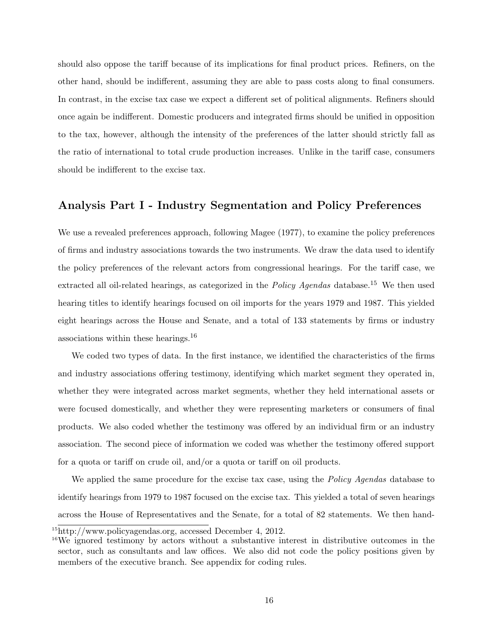should also oppose the tariff because of its implications for final product prices. Refiners, on the other hand, should be indifferent, assuming they are able to pass costs along to final consumers. In contrast, in the excise tax case we expect a different set of political alignments. Refiners should once again be indifferent. Domestic producers and integrated firms should be unified in opposition to the tax, however, although the intensity of the preferences of the latter should strictly fall as the ratio of international to total crude production increases. Unlike in the tariff case, consumers should be indifferent to the excise tax.

## Analysis Part I - Industry Segmentation and Policy Preferences

We use a revealed preferences approach, following Magee (1977), to examine the policy preferences of firms and industry associations towards the two instruments. We draw the data used to identify the policy preferences of the relevant actors from congressional hearings. For the tariff case, we extracted all oil-related hearings, as categorized in the *Policy Agendas* database.<sup>15</sup> We then used hearing titles to identify hearings focused on oil imports for the years 1979 and 1987. This yielded eight hearings across the House and Senate, and a total of 133 statements by firms or industry associations within these hearings.<sup>16</sup>

We coded two types of data. In the first instance, we identified the characteristics of the firms and industry associations offering testimony, identifying which market segment they operated in, whether they were integrated across market segments, whether they held international assets or were focused domestically, and whether they were representing marketers or consumers of final products. We also coded whether the testimony was offered by an individual firm or an industry association. The second piece of information we coded was whether the testimony offered support for a quota or tariff on crude oil, and/or a quota or tariff on oil products.

We applied the same procedure for the excise tax case, using the *Policy Agendas* database to identify hearings from 1979 to 1987 focused on the excise tax. This yielded a total of seven hearings across the House of Representatives and the Senate, for a total of 82 statements. We then hand-

<sup>15</sup>http://www.policyagendas.org, accessed December 4, 2012.

<sup>&</sup>lt;sup>16</sup>We ignored testimony by actors without a substantive interest in distributive outcomes in the sector, such as consultants and law offices. We also did not code the policy positions given by members of the executive branch. See appendix for coding rules.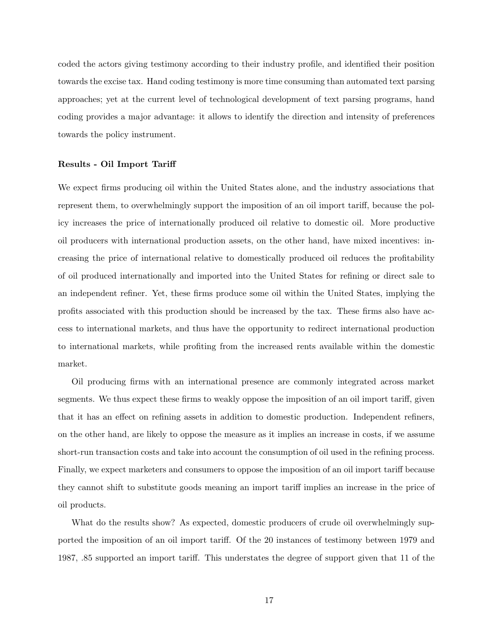coded the actors giving testimony according to their industry profile, and identified their position towards the excise tax. Hand coding testimony is more time consuming than automated text parsing approaches; yet at the current level of technological development of text parsing programs, hand coding provides a major advantage: it allows to identify the direction and intensity of preferences towards the policy instrument.

## Results - Oil Import Tariff

We expect firms producing oil within the United States alone, and the industry associations that represent them, to overwhelmingly support the imposition of an oil import tariff, because the policy increases the price of internationally produced oil relative to domestic oil. More productive oil producers with international production assets, on the other hand, have mixed incentives: increasing the price of international relative to domestically produced oil reduces the profitability of oil produced internationally and imported into the United States for refining or direct sale to an independent refiner. Yet, these firms produce some oil within the United States, implying the profits associated with this production should be increased by the tax. These firms also have access to international markets, and thus have the opportunity to redirect international production to international markets, while profiting from the increased rents available within the domestic market.

Oil producing firms with an international presence are commonly integrated across market segments. We thus expect these firms to weakly oppose the imposition of an oil import tariff, given that it has an effect on refining assets in addition to domestic production. Independent refiners, on the other hand, are likely to oppose the measure as it implies an increase in costs, if we assume short-run transaction costs and take into account the consumption of oil used in the refining process. Finally, we expect marketers and consumers to oppose the imposition of an oil import tariff because they cannot shift to substitute goods meaning an import tariff implies an increase in the price of oil products.

What do the results show? As expected, domestic producers of crude oil overwhelmingly supported the imposition of an oil import tariff. Of the 20 instances of testimony between 1979 and 1987, .85 supported an import tariff. This understates the degree of support given that 11 of the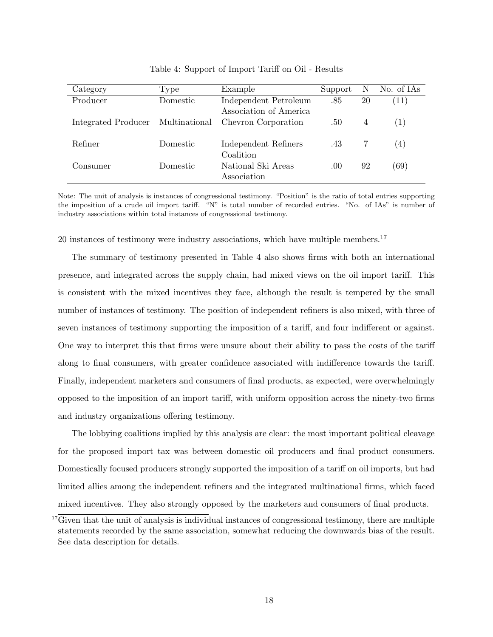| Category                          | Type     | Example                | Support | - N | No. of IAs |
|-----------------------------------|----------|------------------------|---------|-----|------------|
|                                   |          |                        |         |     |            |
| Producer                          | Domestic | Independent Petroleum  | .85     | 20  | (11)       |
|                                   |          | Association of America |         |     |            |
| Integrated Producer Multinational |          | Chevron Corporation    | .50     | 4   | (1)        |
|                                   |          |                        |         |     |            |
| Refiner                           | Domestic | Independent Refiners   | .43     |     | (4)        |
|                                   |          | Coalition              |         |     |            |
|                                   |          |                        |         |     |            |
| Consumer                          | Domestic | National Ski Areas     | .00     | 92  | (69)       |
|                                   |          | Association            |         |     |            |
|                                   |          |                        |         |     |            |

Table 4: Support of Import Tariff on Oil - Results

Note: The unit of analysis is instances of congressional testimony. "Position" is the ratio of total entries supporting the imposition of a crude oil import tariff. "N" is total number of recorded entries. "No. of IAs" is number of industry associations within total instances of congressional testimony.

20 instances of testimony were industry associations, which have multiple members.<sup>17</sup>

The summary of testimony presented in Table 4 also shows firms with both an international presence, and integrated across the supply chain, had mixed views on the oil import tariff. This is consistent with the mixed incentives they face, although the result is tempered by the small number of instances of testimony. The position of independent refiners is also mixed, with three of seven instances of testimony supporting the imposition of a tariff, and four indifferent or against. One way to interpret this that firms were unsure about their ability to pass the costs of the tariff along to final consumers, with greater confidence associated with indifference towards the tariff. Finally, independent marketers and consumers of final products, as expected, were overwhelmingly opposed to the imposition of an import tariff, with uniform opposition across the ninety-two firms and industry organizations offering testimony.

The lobbying coalitions implied by this analysis are clear: the most important political cleavage for the proposed import tax was between domestic oil producers and final product consumers. Domestically focused producers strongly supported the imposition of a tariff on oil imports, but had limited allies among the independent refiners and the integrated multinational firms, which faced mixed incentives. They also strongly opposed by the marketers and consumers of final products.

<sup>&</sup>lt;sup>17</sup>Given that the unit of analysis is individual instances of congressional testimony, there are multiple statements recorded by the same association, somewhat reducing the downwards bias of the result. See data description for details.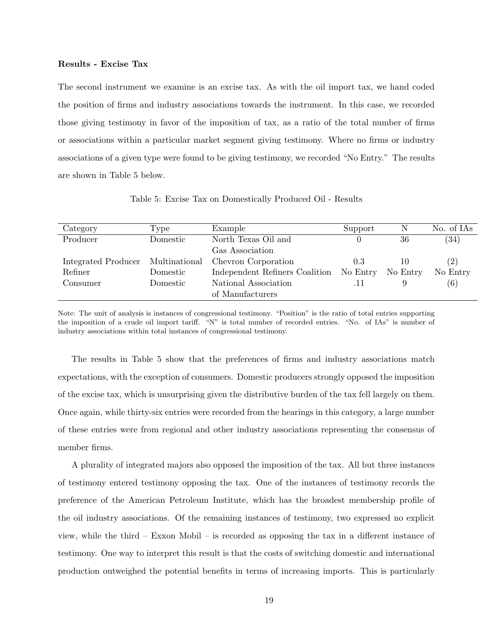#### Results - Excise Tax

The second instrument we examine is an excise tax. As with the oil import tax, we hand coded the position of firms and industry associations towards the instrument. In this case, we recorded those giving testimony in favor of the imposition of tax, as a ratio of the total number of firms or associations within a particular market segment giving testimony. Where no firms or industry associations of a given type were found to be giving testimony, we recorded "No Entry." The results are shown in Table 5 below.

| Category            | Type          | Example                        | Support  | N        | No. of IAs |
|---------------------|---------------|--------------------------------|----------|----------|------------|
| Producer            | Domestic      | North Texas Oil and            |          | 36       | (34)       |
|                     |               | Gas Association                |          |          |            |
| Integrated Producer | Multinational | Chevron Corporation            | 0.3      | 10       | (2)        |
| Refiner             | Domestic      | Independent Refiners Coalition | No Entry | No Entry | No Entry   |
| Consumer            | Domestic      | National Association           |          |          | (6)        |
|                     |               | of Manufacturers               |          |          |            |

Table 5: Excise Tax on Domestically Produced Oil - Results

Note: The unit of analysis is instances of congressional testimony. "Position" is the ratio of total entries supporting the imposition of a crude oil import tariff. "N" is total number of recorded entries. "No. of IAs" is number of industry associations within total instances of congressional testimony.

The results in Table 5 show that the preferences of firms and industry associations match expectations, with the exception of consumers. Domestic producers strongly opposed the imposition of the excise tax, which is unsurprising given the distributive burden of the tax fell largely on them. Once again, while thirty-six entries were recorded from the hearings in this category, a large number of these entries were from regional and other industry associations representing the consensus of member firms.

A plurality of integrated majors also opposed the imposition of the tax. All but three instances of testimony entered testimony opposing the tax. One of the instances of testimony records the preference of the American Petroleum Institute, which has the broadest membership profile of the oil industry associations. Of the remaining instances of testimony, two expressed no explicit view, while the third – Exxon Mobil – is recorded as opposing the tax in a different instance of testimony. One way to interpret this result is that the costs of switching domestic and international production outweighed the potential benefits in terms of increasing imports. This is particularly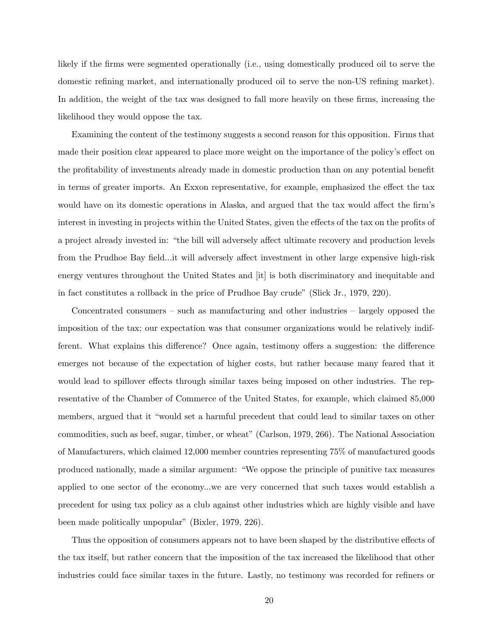likely if the firms were segmented operationally (i.e., using domestically produced oil to serve the domestic refining market, and internationally produced oil to serve the non-US refining market). In addition, the weight of the tax was designed to fall more heavily on these firms, increasing the likelihood they would oppose the tax.

Examining the content of the testimony suggests a second reason for this opposition. Firms that made their position clear appeared to place more weight on the importance of the policy's effect on the profitability of investments already made in domestic production than on any potential benefit in terms of greater imports. An Exxon representative, for example, emphasized the effect the tax would have on its domestic operations in Alaska, and argued that the tax would affect the firm's interest in investing in projects within the United States, given the effects of the tax on the profits of a project already invested in: "the bill will adversely affect ultimate recovery and production levels from the Prudhoe Bay field...it will adversely affect investment in other large expensive high-risk energy ventures throughout the United States and [it] is both discriminatory and inequitable and in fact constitutes a rollback in the price of Prudhoe Bay crude" (Slick Jr., 1979, 220).

Concentrated consumers – such as manufacturing and other industries – largely opposed the imposition of the tax; our expectation was that consumer organizations would be relatively indifferent. What explains this difference? Once again, testimony offers a suggestion: the difference emerges not because of the expectation of higher costs, but rather because many feared that it would lead to spillover effects through similar taxes being imposed on other industries. The representative of the Chamber of Commerce of the United States, for example, which claimed 85,000 members, argued that it "would set a harmful precedent that could lead to similar taxes on other commodities, such as beef, sugar, timber, or wheat" (Carlson, 1979, 266). The National Association of Manufacturers, which claimed 12,000 member countries representing 75% of manufactured goods produced nationally, made a similar argument: "We oppose the principle of punitive tax measures applied to one sector of the economy...we are very concerned that such taxes would establish a precedent for using tax policy as a club against other industries which are highly visible and have been made politically unpopular" (Bixler, 1979, 226).

Thus the opposition of consumers appears not to have been shaped by the distributive effects of the tax itself, but rather concern that the imposition of the tax increased the likelihood that other industries could face similar taxes in the future. Lastly, no testimony was recorded for refiners or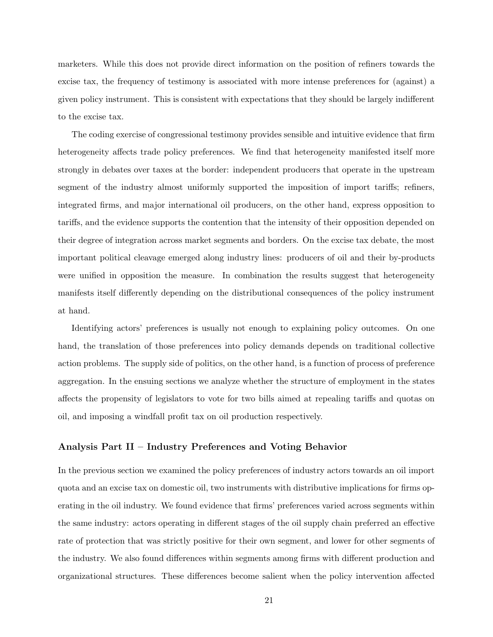marketers. While this does not provide direct information on the position of refiners towards the excise tax, the frequency of testimony is associated with more intense preferences for (against) a given policy instrument. This is consistent with expectations that they should be largely indifferent to the excise tax.

The coding exercise of congressional testimony provides sensible and intuitive evidence that firm heterogeneity affects trade policy preferences. We find that heterogeneity manifested itself more strongly in debates over taxes at the border: independent producers that operate in the upstream segment of the industry almost uniformly supported the imposition of import tariffs; refiners, integrated firms, and major international oil producers, on the other hand, express opposition to tariffs, and the evidence supports the contention that the intensity of their opposition depended on their degree of integration across market segments and borders. On the excise tax debate, the most important political cleavage emerged along industry lines: producers of oil and their by-products were unified in opposition the measure. In combination the results suggest that heterogeneity manifests itself differently depending on the distributional consequences of the policy instrument at hand.

Identifying actors' preferences is usually not enough to explaining policy outcomes. On one hand, the translation of those preferences into policy demands depends on traditional collective action problems. The supply side of politics, on the other hand, is a function of process of preference aggregation. In the ensuing sections we analyze whether the structure of employment in the states affects the propensity of legislators to vote for two bills aimed at repealing tariffs and quotas on oil, and imposing a windfall profit tax on oil production respectively.

## Analysis Part II – Industry Preferences and Voting Behavior

In the previous section we examined the policy preferences of industry actors towards an oil import quota and an excise tax on domestic oil, two instruments with distributive implications for firms operating in the oil industry. We found evidence that firms' preferences varied across segments within the same industry: actors operating in different stages of the oil supply chain preferred an effective rate of protection that was strictly positive for their own segment, and lower for other segments of the industry. We also found differences within segments among firms with different production and organizational structures. These differences become salient when the policy intervention affected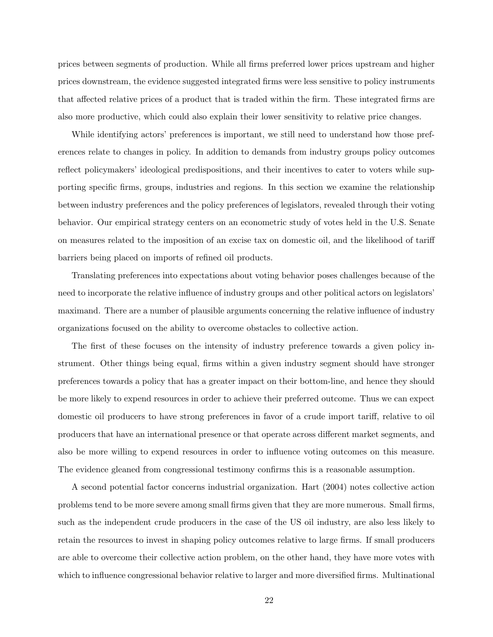prices between segments of production. While all firms preferred lower prices upstream and higher prices downstream, the evidence suggested integrated firms were less sensitive to policy instruments that affected relative prices of a product that is traded within the firm. These integrated firms are also more productive, which could also explain their lower sensitivity to relative price changes.

While identifying actors' preferences is important, we still need to understand how those preferences relate to changes in policy. In addition to demands from industry groups policy outcomes reflect policymakers' ideological predispositions, and their incentives to cater to voters while supporting specific firms, groups, industries and regions. In this section we examine the relationship between industry preferences and the policy preferences of legislators, revealed through their voting behavior. Our empirical strategy centers on an econometric study of votes held in the U.S. Senate on measures related to the imposition of an excise tax on domestic oil, and the likelihood of tariff barriers being placed on imports of refined oil products.

Translating preferences into expectations about voting behavior poses challenges because of the need to incorporate the relative influence of industry groups and other political actors on legislators' maximand. There are a number of plausible arguments concerning the relative influence of industry organizations focused on the ability to overcome obstacles to collective action.

The first of these focuses on the intensity of industry preference towards a given policy instrument. Other things being equal, firms within a given industry segment should have stronger preferences towards a policy that has a greater impact on their bottom-line, and hence they should be more likely to expend resources in order to achieve their preferred outcome. Thus we can expect domestic oil producers to have strong preferences in favor of a crude import tariff, relative to oil producers that have an international presence or that operate across different market segments, and also be more willing to expend resources in order to influence voting outcomes on this measure. The evidence gleaned from congressional testimony confirms this is a reasonable assumption.

A second potential factor concerns industrial organization. Hart (2004) notes collective action problems tend to be more severe among small firms given that they are more numerous. Small firms, such as the independent crude producers in the case of the US oil industry, are also less likely to retain the resources to invest in shaping policy outcomes relative to large firms. If small producers are able to overcome their collective action problem, on the other hand, they have more votes with which to influence congressional behavior relative to larger and more diversified firms. Multinational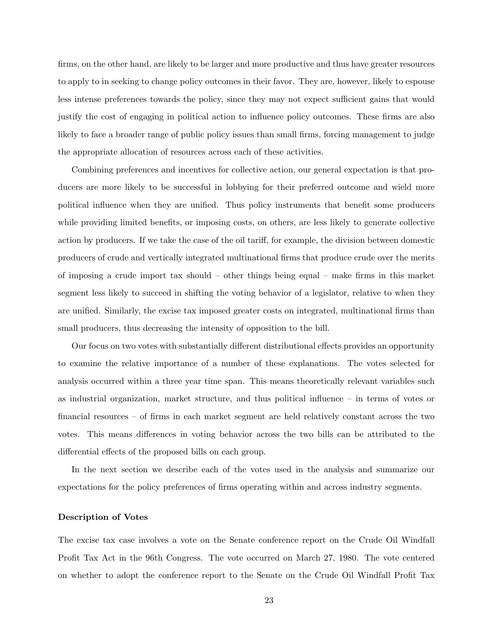firms, on the other hand, are likely to be larger and more productive and thus have greater resources to apply to in seeking to change policy outcomes in their favor. They are, however, likely to espouse less intense preferences towards the policy, since they may not expect sufficient gains that would justify the cost of engaging in political action to influence policy outcomes. These firms are also likely to face a broader range of public policy issues than small firms, forcing management to judge the appropriate allocation of resources across each of these activities.

Combining preferences and incentives for collective action, our general expectation is that producers are more likely to be successful in lobbying for their preferred outcome and wield more political influence when they are unified. Thus policy instruments that benefit some producers while providing limited benefits, or imposing costs, on others, are less likely to generate collective action by producers. If we take the case of the oil tariff, for example, the division between domestic producers of crude and vertically integrated multinational firms that produce crude over the merits of imposing a crude import tax should – other things being equal – make firms in this market segment less likely to succeed in shifting the voting behavior of a legislator, relative to when they are unified. Similarly, the excise tax imposed greater costs on integrated, multinational firms than small producers, thus decreasing the intensity of opposition to the bill.

Our focus on two votes with substantially different distributional effects provides an opportunity to examine the relative importance of a number of these explanations. The votes selected for analysis occurred within a three year time span. This means theoretically relevant variables such as industrial organization, market structure, and thus political influence – in terms of votes or financial resources – of firms in each market segment are held relatively constant across the two votes. This means differences in voting behavior across the two bills can be attributed to the differential effects of the proposed bills on each group.

In the next section we describe each of the votes used in the analysis and summarize our expectations for the policy preferences of firms operating within and across industry segments.

#### Description of Votes

The excise tax case involves a vote on the Senate conference report on the Crude Oil Windfall Profit Tax Act in the 96th Congress. The vote occurred on March 27, 1980. The vote centered on whether to adopt the conference report to the Senate on the Crude Oil Windfall Profit Tax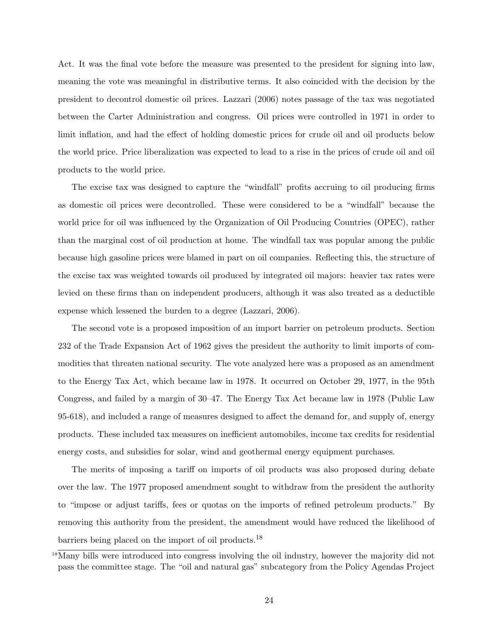Act. It was the final vote before the measure was presented to the president for signing into law, meaning the vote was meaningful in distributive terms. It also coincided with the decision by the president to decontrol domestic oil prices. Lazzari (2006) notes passage of the tax was negotiated between the Carter Administration and congress. Oil prices were controlled in 1971 in order to limit inflation, and had the effect of holding domestic prices for crude oil and oil products below the world price. Price liberalization was expected to lead to a rise in the prices of crude oil and oil products to the world price.

The excise tax was designed to capture the "windfall" profits accruing to oil producing firms as domestic oil prices were decontrolled. These were considered to be a "windfall" because the world price for oil was influenced by the Organization of Oil Producing Countries (OPEC), rather than the marginal cost of oil production at home. The windfall tax was popular among the public because high gasoline prices were blamed in part on oil companies. Reflecting this, the structure of the excise tax was weighted towards oil produced by integrated oil majors: heavier tax rates were levied on these firms than on independent producers, although it was also treated as a deductible expense which lessened the burden to a degree (Lazzari, 2006).

The second vote is a proposed imposition of an import barrier on petroleum products. Section 232 of the Trade Expansion Act of 1962 gives the president the authority to limit imports of commodities that threaten national security. The vote analyzed here was a proposed as an amendment to the Energy Tax Act, which became law in 1978. It occurred on October 29, 1977, in the 95th Congress, and failed by a margin of 30–47. The Energy Tax Act became law in 1978 (Public Law 95-618), and included a range of measures designed to affect the demand for, and supply of, energy products. These included tax measures on inefficient automobiles, income tax credits for residential energy costs, and subsidies for solar, wind and geothermal energy equipment purchases.

The merits of imposing a tariff on imports of oil products was also proposed during debate over the law. The 1977 proposed amendment sought to withdraw from the president the authority to "impose or adjust tariffs, fees or quotas on the imports of refined petroleum products." By removing this authority from the president, the amendment would have reduced the likelihood of barriers being placed on the import of oil products.<sup>18</sup>

<sup>&</sup>lt;sup>18</sup>Many bills were introduced into congress involving the oil industry, however the majority did not pass the committee stage. The "oil and natural gas" subcategory from the Policy Agendas Project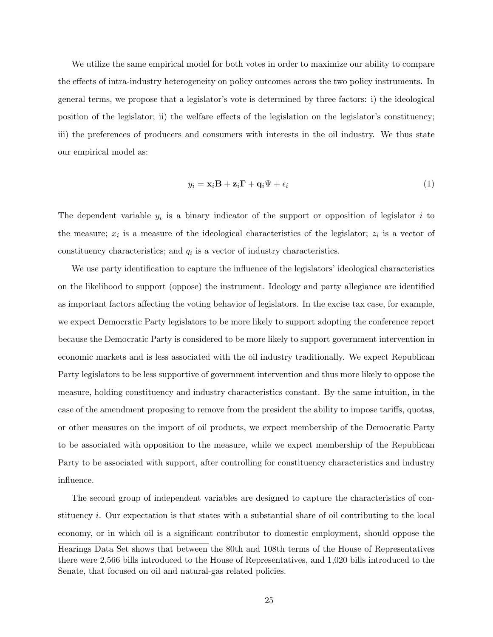We utilize the same empirical model for both votes in order to maximize our ability to compare the effects of intra-industry heterogeneity on policy outcomes across the two policy instruments. In general terms, we propose that a legislator's vote is determined by three factors: i) the ideological position of the legislator; ii) the welfare effects of the legislation on the legislator's constituency; iii) the preferences of producers and consumers with interests in the oil industry. We thus state our empirical model as:

$$
y_i = \mathbf{x}_i \mathbf{B} + \mathbf{z}_i \mathbf{\Gamma} + \mathbf{q}_i \Psi + \epsilon_i
$$
 (1)

The dependent variable  $y_i$  is a binary indicator of the support or opposition of legislator i to the measure;  $x_i$  is a measure of the ideological characteristics of the legislator;  $z_i$  is a vector of constituency characteristics; and  $q_i$  is a vector of industry characteristics.

We use party identification to capture the influence of the legislators' ideological characteristics on the likelihood to support (oppose) the instrument. Ideology and party allegiance are identified as important factors affecting the voting behavior of legislators. In the excise tax case, for example, we expect Democratic Party legislators to be more likely to support adopting the conference report because the Democratic Party is considered to be more likely to support government intervention in economic markets and is less associated with the oil industry traditionally. We expect Republican Party legislators to be less supportive of government intervention and thus more likely to oppose the measure, holding constituency and industry characteristics constant. By the same intuition, in the case of the amendment proposing to remove from the president the ability to impose tariffs, quotas, or other measures on the import of oil products, we expect membership of the Democratic Party to be associated with opposition to the measure, while we expect membership of the Republican Party to be associated with support, after controlling for constituency characteristics and industry influence.

The second group of independent variables are designed to capture the characteristics of constituency i. Our expectation is that states with a substantial share of oil contributing to the local economy, or in which oil is a significant contributor to domestic employment, should oppose the Hearings Data Set shows that between the 80th and 108th terms of the House of Representatives there were 2,566 bills introduced to the House of Representatives, and 1,020 bills introduced to the Senate, that focused on oil and natural-gas related policies.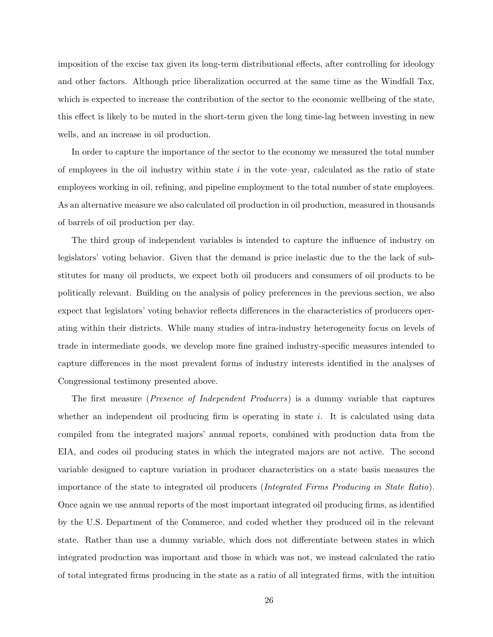imposition of the excise tax given its long-term distributional effects, after controlling for ideology and other factors. Although price liberalization occurred at the same time as the Windfall Tax, which is expected to increase the contribution of the sector to the economic wellbeing of the state, this effect is likely to be muted in the short-term given the long time-lag between investing in new wells, and an increase in oil production.

In order to capture the importance of the sector to the economy we measured the total number of employees in the oil industry within state  $i$  in the vote–year, calculated as the ratio of state employees working in oil, refining, and pipeline employment to the total number of state employees. As an alternative measure we also calculated oil production in oil production, measured in thousands of barrels of oil production per day.

The third group of independent variables is intended to capture the influence of industry on legislators' voting behavior. Given that the demand is price inelastic due to the the lack of substitutes for many oil products, we expect both oil producers and consumers of oil products to be politically relevant. Building on the analysis of policy preferences in the previous section, we also expect that legislators' voting behavior reflects differences in the characteristics of producers operating within their districts. While many studies of intra-industry heterogeneity focus on levels of trade in intermediate goods, we develop more fine grained industry-specific measures intended to capture differences in the most prevalent forms of industry interests identified in the analyses of Congressional testimony presented above.

The first measure (Presence of Independent Producers) is a dummy variable that captures whether an independent oil producing firm is operating in state  $i$ . It is calculated using data compiled from the integrated majors' annual reports, combined with production data from the EIA, and codes oil producing states in which the integrated majors are not active. The second variable designed to capture variation in producer characteristics on a state basis measures the importance of the state to integrated oil producers (Integrated Firms Producing in State Ratio). Once again we use annual reports of the most important integrated oil producing firms, as identified by the U.S. Department of the Commerce, and coded whether they produced oil in the relevant state. Rather than use a dummy variable, which does not differentiate between states in which integrated production was important and those in which was not, we instead calculated the ratio of total integrated firms producing in the state as a ratio of all integrated firms, with the intuition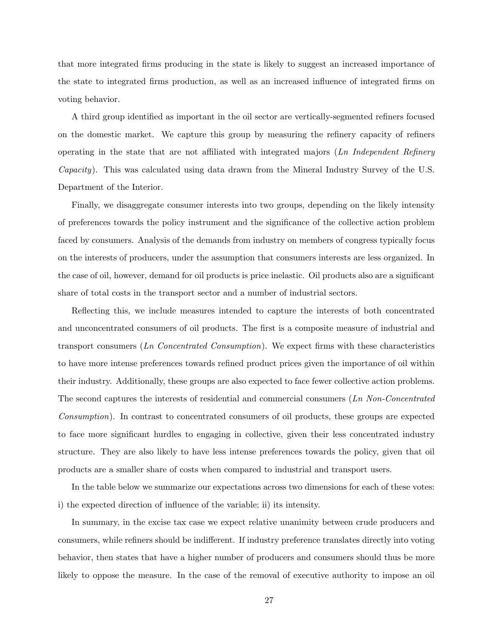that more integrated firms producing in the state is likely to suggest an increased importance of the state to integrated firms production, as well as an increased influence of integrated firms on voting behavior.

A third group identified as important in the oil sector are vertically-segmented refiners focused on the domestic market. We capture this group by measuring the refinery capacity of refiners operating in the state that are not affiliated with integrated majors  $(Ln \ Independent \ Refinery)$ Capacity). This was calculated using data drawn from the Mineral Industry Survey of the U.S. Department of the Interior.

Finally, we disaggregate consumer interests into two groups, depending on the likely intensity of preferences towards the policy instrument and the significance of the collective action problem faced by consumers. Analysis of the demands from industry on members of congress typically focus on the interests of producers, under the assumption that consumers interests are less organized. In the case of oil, however, demand for oil products is price inelastic. Oil products also are a significant share of total costs in the transport sector and a number of industrial sectors.

Reflecting this, we include measures intended to capture the interests of both concentrated and unconcentrated consumers of oil products. The first is a composite measure of industrial and transport consumers  $(Ln \; Concentrated \; Consumption)$ . We expect firms with these characteristics to have more intense preferences towards refined product prices given the importance of oil within their industry. Additionally, these groups are also expected to face fewer collective action problems. The second captures the interests of residential and commercial consumers (Ln Non-Concentrated Consumption). In contrast to concentrated consumers of oil products, these groups are expected to face more significant hurdles to engaging in collective, given their less concentrated industry structure. They are also likely to have less intense preferences towards the policy, given that oil products are a smaller share of costs when compared to industrial and transport users.

In the table below we summarize our expectations across two dimensions for each of these votes: i) the expected direction of influence of the variable; ii) its intensity.

In summary, in the excise tax case we expect relative unanimity between crude producers and consumers, while refiners should be indifferent. If industry preference translates directly into voting behavior, then states that have a higher number of producers and consumers should thus be more likely to oppose the measure. In the case of the removal of executive authority to impose an oil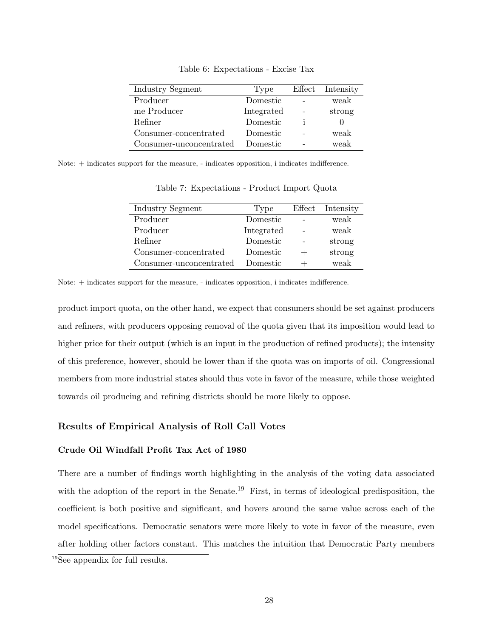| Industry Segment        | Type       |    | Effect Intensity |
|-------------------------|------------|----|------------------|
| Producer                | Domestic   |    | weak             |
| me Producer             | Integrated |    | strong           |
| Refiner                 | Domestic   | ı. |                  |
| Consumer-concentrated   | Domestic   |    | weak             |
| Consumer-unconcentrated | Domestic   |    | weak             |

Table 6: Expectations - Excise Tax

Note: + indicates support for the measure, - indicates opposition, i indicates indifference.

| Industry Segment        | Type       | Effect Intensity |
|-------------------------|------------|------------------|
| Producer                | Domestic   | weak             |
| Producer                | Integrated | weak             |
| Refiner                 | Domestic   | strong           |
| Consumer-concentrated   | Domestic   | strong           |
| Consumer-unconcentrated | Domestic   | weak             |

Table 7: Expectations - Product Import Quota

Note: + indicates support for the measure, - indicates opposition, i indicates indifference.

product import quota, on the other hand, we expect that consumers should be set against producers and refiners, with producers opposing removal of the quota given that its imposition would lead to higher price for their output (which is an input in the production of refined products); the intensity of this preference, however, should be lower than if the quota was on imports of oil. Congressional members from more industrial states should thus vote in favor of the measure, while those weighted towards oil producing and refining districts should be more likely to oppose.

## Results of Empirical Analysis of Roll Call Votes

## Crude Oil Windfall Profit Tax Act of 1980

There are a number of findings worth highlighting in the analysis of the voting data associated with the adoption of the report in the Senate.<sup>19</sup> First, in terms of ideological predisposition, the coefficient is both positive and significant, and hovers around the same value across each of the model specifications. Democratic senators were more likely to vote in favor of the measure, even after holding other factors constant. This matches the intuition that Democratic Party members

<sup>&</sup>lt;sup>19</sup>See appendix for full results.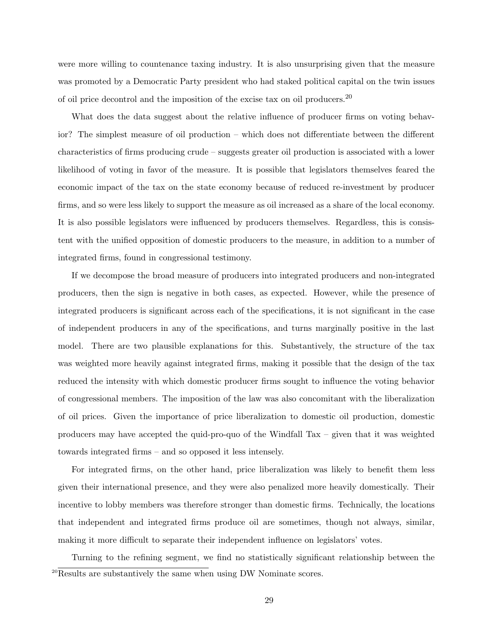were more willing to countenance taxing industry. It is also unsurprising given that the measure was promoted by a Democratic Party president who had staked political capital on the twin issues of oil price decontrol and the imposition of the excise tax on oil producers.<sup>20</sup>

What does the data suggest about the relative influence of producer firms on voting behavior? The simplest measure of oil production – which does not differentiate between the different characteristics of firms producing crude – suggests greater oil production is associated with a lower likelihood of voting in favor of the measure. It is possible that legislators themselves feared the economic impact of the tax on the state economy because of reduced re-investment by producer firms, and so were less likely to support the measure as oil increased as a share of the local economy. It is also possible legislators were influenced by producers themselves. Regardless, this is consistent with the unified opposition of domestic producers to the measure, in addition to a number of integrated firms, found in congressional testimony.

If we decompose the broad measure of producers into integrated producers and non-integrated producers, then the sign is negative in both cases, as expected. However, while the presence of integrated producers is significant across each of the specifications, it is not significant in the case of independent producers in any of the specifications, and turns marginally positive in the last model. There are two plausible explanations for this. Substantively, the structure of the tax was weighted more heavily against integrated firms, making it possible that the design of the tax reduced the intensity with which domestic producer firms sought to influence the voting behavior of congressional members. The imposition of the law was also concomitant with the liberalization of oil prices. Given the importance of price liberalization to domestic oil production, domestic producers may have accepted the quid-pro-quo of the Windfall Tax – given that it was weighted towards integrated firms – and so opposed it less intensely.

For integrated firms, on the other hand, price liberalization was likely to benefit them less given their international presence, and they were also penalized more heavily domestically. Their incentive to lobby members was therefore stronger than domestic firms. Technically, the locations that independent and integrated firms produce oil are sometimes, though not always, similar, making it more difficult to separate their independent influence on legislators' votes.

Turning to the refining segment, we find no statistically significant relationship between the  $^{20}$ Results are substantively the same when using DW Nominate scores.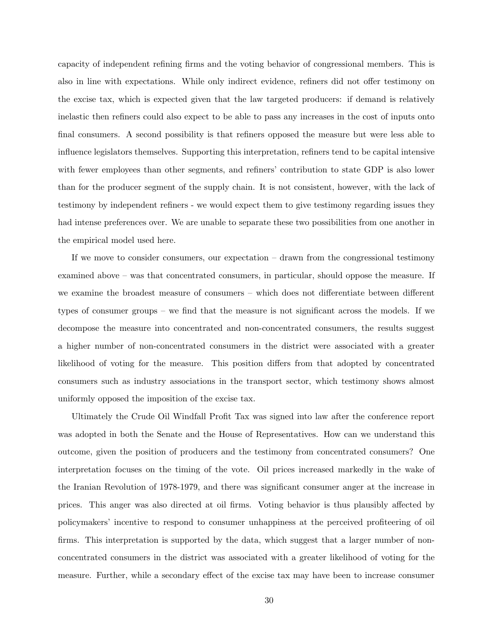capacity of independent refining firms and the voting behavior of congressional members. This is also in line with expectations. While only indirect evidence, refiners did not offer testimony on the excise tax, which is expected given that the law targeted producers: if demand is relatively inelastic then refiners could also expect to be able to pass any increases in the cost of inputs onto final consumers. A second possibility is that refiners opposed the measure but were less able to influence legislators themselves. Supporting this interpretation, refiners tend to be capital intensive with fewer employees than other segments, and refiners' contribution to state GDP is also lower than for the producer segment of the supply chain. It is not consistent, however, with the lack of testimony by independent refiners - we would expect them to give testimony regarding issues they had intense preferences over. We are unable to separate these two possibilities from one another in the empirical model used here.

If we move to consider consumers, our expectation – drawn from the congressional testimony examined above – was that concentrated consumers, in particular, should oppose the measure. If we examine the broadest measure of consumers – which does not differentiate between different types of consumer groups – we find that the measure is not significant across the models. If we decompose the measure into concentrated and non-concentrated consumers, the results suggest a higher number of non-concentrated consumers in the district were associated with a greater likelihood of voting for the measure. This position differs from that adopted by concentrated consumers such as industry associations in the transport sector, which testimony shows almost uniformly opposed the imposition of the excise tax.

Ultimately the Crude Oil Windfall Profit Tax was signed into law after the conference report was adopted in both the Senate and the House of Representatives. How can we understand this outcome, given the position of producers and the testimony from concentrated consumers? One interpretation focuses on the timing of the vote. Oil prices increased markedly in the wake of the Iranian Revolution of 1978-1979, and there was significant consumer anger at the increase in prices. This anger was also directed at oil firms. Voting behavior is thus plausibly affected by policymakers' incentive to respond to consumer unhappiness at the perceived profiteering of oil firms. This interpretation is supported by the data, which suggest that a larger number of nonconcentrated consumers in the district was associated with a greater likelihood of voting for the measure. Further, while a secondary effect of the excise tax may have been to increase consumer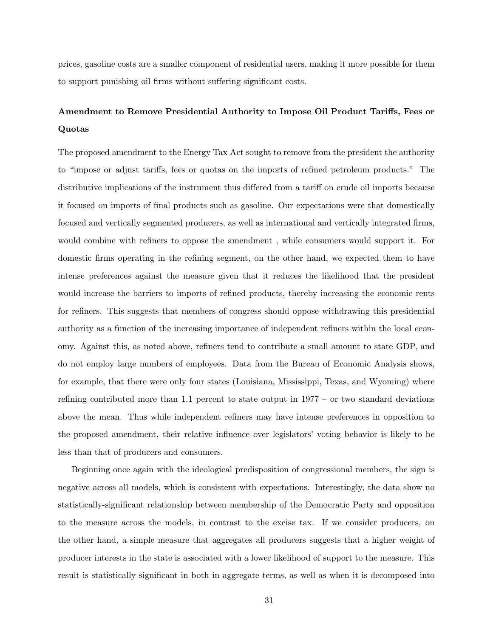prices, gasoline costs are a smaller component of residential users, making it more possible for them to support punishing oil firms without suffering significant costs.

# Amendment to Remove Presidential Authority to Impose Oil Product Tariffs, Fees or Quotas

The proposed amendment to the Energy Tax Act sought to remove from the president the authority to "impose or adjust tariffs, fees or quotas on the imports of refined petroleum products." The distributive implications of the instrument thus differed from a tariff on crude oil imports because it focused on imports of final products such as gasoline. Our expectations were that domestically focused and vertically segmented producers, as well as international and vertically integrated firms, would combine with refiners to oppose the amendment , while consumers would support it. For domestic firms operating in the refining segment, on the other hand, we expected them to have intense preferences against the measure given that it reduces the likelihood that the president would increase the barriers to imports of refined products, thereby increasing the economic rents for refiners. This suggests that members of congress should oppose withdrawing this presidential authority as a function of the increasing importance of independent refiners within the local economy. Against this, as noted above, refiners tend to contribute a small amount to state GDP, and do not employ large numbers of employees. Data from the Bureau of Economic Analysis shows, for example, that there were only four states (Louisiana, Mississippi, Texas, and Wyoming) where refining contributed more than 1.1 percent to state output in 1977 – or two standard deviations above the mean. Thus while independent refiners may have intense preferences in opposition to the proposed amendment, their relative influence over legislators' voting behavior is likely to be less than that of producers and consumers.

Beginning once again with the ideological predisposition of congressional members, the sign is negative across all models, which is consistent with expectations. Interestingly, the data show no statistically-significant relationship between membership of the Democratic Party and opposition to the measure across the models, in contrast to the excise tax. If we consider producers, on the other hand, a simple measure that aggregates all producers suggests that a higher weight of producer interests in the state is associated with a lower likelihood of support to the measure. This result is statistically significant in both in aggregate terms, as well as when it is decomposed into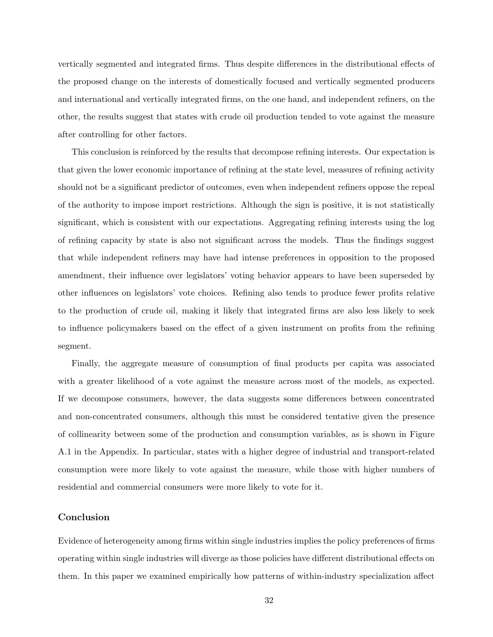vertically segmented and integrated firms. Thus despite differences in the distributional effects of the proposed change on the interests of domestically focused and vertically segmented producers and international and vertically integrated firms, on the one hand, and independent refiners, on the other, the results suggest that states with crude oil production tended to vote against the measure after controlling for other factors.

This conclusion is reinforced by the results that decompose refining interests. Our expectation is that given the lower economic importance of refining at the state level, measures of refining activity should not be a significant predictor of outcomes, even when independent refiners oppose the repeal of the authority to impose import restrictions. Although the sign is positive, it is not statistically significant, which is consistent with our expectations. Aggregating refining interests using the log of refining capacity by state is also not significant across the models. Thus the findings suggest that while independent refiners may have had intense preferences in opposition to the proposed amendment, their influence over legislators' voting behavior appears to have been superseded by other influences on legislators' vote choices. Refining also tends to produce fewer profits relative to the production of crude oil, making it likely that integrated firms are also less likely to seek to influence policymakers based on the effect of a given instrument on profits from the refining segment.

Finally, the aggregate measure of consumption of final products per capita was associated with a greater likelihood of a vote against the measure across most of the models, as expected. If we decompose consumers, however, the data suggests some differences between concentrated and non-concentrated consumers, although this must be considered tentative given the presence of collinearity between some of the production and consumption variables, as is shown in Figure A.1 in the Appendix. In particular, states with a higher degree of industrial and transport-related consumption were more likely to vote against the measure, while those with higher numbers of residential and commercial consumers were more likely to vote for it.

## Conclusion

Evidence of heterogeneity among firms within single industries implies the policy preferences of firms operating within single industries will diverge as those policies have different distributional effects on them. In this paper we examined empirically how patterns of within-industry specialization affect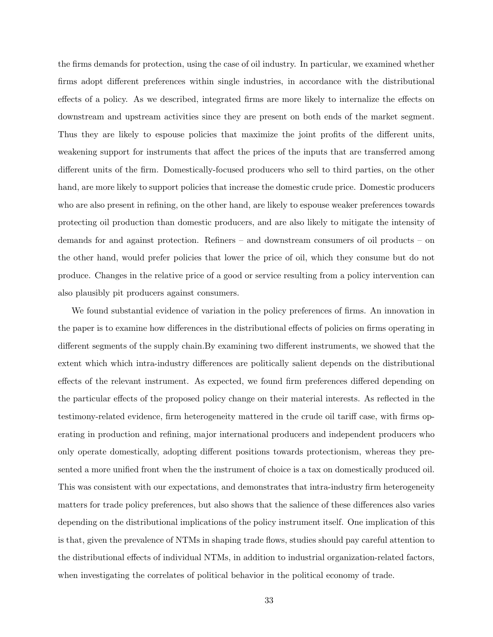the firms demands for protection, using the case of oil industry. In particular, we examined whether firms adopt different preferences within single industries, in accordance with the distributional effects of a policy. As we described, integrated firms are more likely to internalize the effects on downstream and upstream activities since they are present on both ends of the market segment. Thus they are likely to espouse policies that maximize the joint profits of the different units, weakening support for instruments that affect the prices of the inputs that are transferred among different units of the firm. Domestically-focused producers who sell to third parties, on the other hand, are more likely to support policies that increase the domestic crude price. Domestic producers who are also present in refining, on the other hand, are likely to espouse weaker preferences towards protecting oil production than domestic producers, and are also likely to mitigate the intensity of demands for and against protection. Refiners – and downstream consumers of oil products – on the other hand, would prefer policies that lower the price of oil, which they consume but do not produce. Changes in the relative price of a good or service resulting from a policy intervention can also plausibly pit producers against consumers.

We found substantial evidence of variation in the policy preferences of firms. An innovation in the paper is to examine how differences in the distributional effects of policies on firms operating in different segments of the supply chain.By examining two different instruments, we showed that the extent which which intra-industry differences are politically salient depends on the distributional effects of the relevant instrument. As expected, we found firm preferences differed depending on the particular effects of the proposed policy change on their material interests. As reflected in the testimony-related evidence, firm heterogeneity mattered in the crude oil tariff case, with firms operating in production and refining, major international producers and independent producers who only operate domestically, adopting different positions towards protectionism, whereas they presented a more unified front when the the instrument of choice is a tax on domestically produced oil. This was consistent with our expectations, and demonstrates that intra-industry firm heterogeneity matters for trade policy preferences, but also shows that the salience of these differences also varies depending on the distributional implications of the policy instrument itself. One implication of this is that, given the prevalence of NTMs in shaping trade flows, studies should pay careful attention to the distributional effects of individual NTMs, in addition to industrial organization-related factors, when investigating the correlates of political behavior in the political economy of trade.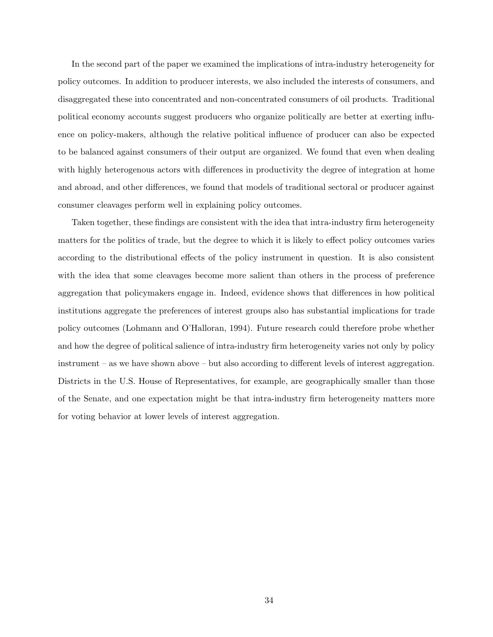In the second part of the paper we examined the implications of intra-industry heterogeneity for policy outcomes. In addition to producer interests, we also included the interests of consumers, and disaggregated these into concentrated and non-concentrated consumers of oil products. Traditional political economy accounts suggest producers who organize politically are better at exerting influence on policy-makers, although the relative political influence of producer can also be expected to be balanced against consumers of their output are organized. We found that even when dealing with highly heterogenous actors with differences in productivity the degree of integration at home and abroad, and other differences, we found that models of traditional sectoral or producer against consumer cleavages perform well in explaining policy outcomes.

Taken together, these findings are consistent with the idea that intra-industry firm heterogeneity matters for the politics of trade, but the degree to which it is likely to effect policy outcomes varies according to the distributional effects of the policy instrument in question. It is also consistent with the idea that some cleavages become more salient than others in the process of preference aggregation that policymakers engage in. Indeed, evidence shows that differences in how political institutions aggregate the preferences of interest groups also has substantial implications for trade policy outcomes (Lohmann and O'Halloran, 1994). Future research could therefore probe whether and how the degree of political salience of intra-industry firm heterogeneity varies not only by policy instrument – as we have shown above – but also according to different levels of interest aggregation. Districts in the U.S. House of Representatives, for example, are geographically smaller than those of the Senate, and one expectation might be that intra-industry firm heterogeneity matters more for voting behavior at lower levels of interest aggregation.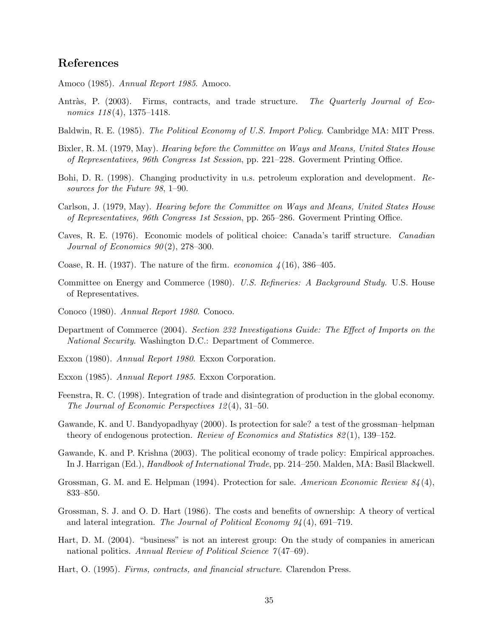# References

- Amoco (1985). Annual Report 1985. Amoco.
- Antràs, P. (2003). Firms, contracts, and trade structure. The Quarterly Journal of Economics  $118(4)$ , 1375–1418.
- Baldwin, R. E. (1985). The Political Economy of U.S. Import Policy. Cambridge MA: MIT Press.
- Bixler, R. M. (1979, May). Hearing before the Committee on Ways and Means, United States House of Representatives, 96th Congress 1st Session, pp. 221–228. Goverment Printing Office.
- Bohi, D. R. (1998). Changing productivity in u.s. petroleum exploration and development. Resources for the Future 98, 1–90.
- Carlson, J. (1979, May). Hearing before the Committee on Ways and Means, United States House of Representatives, 96th Congress 1st Session, pp. 265–286. Goverment Printing Office.
- Caves, R. E. (1976). Economic models of political choice: Canada's tariff structure. Canadian Journal of Economics  $90(2)$ , 278-300.
- Coase, R. H. (1937). The nature of the firm. *economica*  $\frac{\lambda}{16}$ , 386–405.
- Committee on Energy and Commerce (1980). U.S. Refineries: A Background Study. U.S. House of Representatives.
- Conoco (1980). Annual Report 1980. Conoco.
- Department of Commerce (2004). Section 232 Investigations Guide: The Effect of Imports on the National Security. Washington D.C.: Department of Commerce.
- Exxon (1980). Annual Report 1980. Exxon Corporation.
- Exxon (1985). Annual Report 1985. Exxon Corporation.
- Feenstra, R. C. (1998). Integration of trade and disintegration of production in the global economy. The Journal of Economic Perspectives 12 (4), 31–50.
- Gawande, K. and U. Bandyopadhyay (2000). Is protection for sale? a test of the grossman–helpman theory of endogenous protection. Review of Economics and Statistics  $82(1)$ , 139–152.
- Gawande, K. and P. Krishna (2003). The political economy of trade policy: Empirical approaches. In J. Harrigan (Ed.), Handbook of International Trade, pp. 214–250. Malden, MA: Basil Blackwell.
- Grossman, G. M. and E. Helpman (1994). Protection for sale. American Economic Review 84(4), 833–850.
- Grossman, S. J. and O. D. Hart (1986). The costs and benefits of ownership: A theory of vertical and lateral integration. The Journal of Political Economy  $94(4)$ , 691–719.
- Hart, D. M. (2004). "business" is not an interest group: On the study of companies in american national politics. Annual Review of Political Science  $7(47–69)$ .
- Hart, O. (1995). Firms, contracts, and financial structure. Clarendon Press.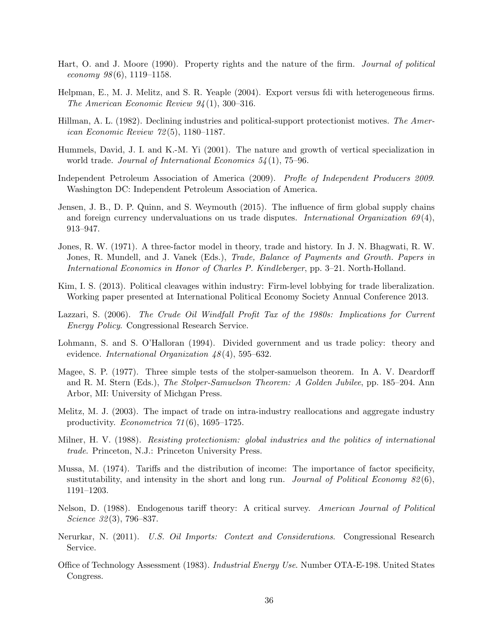- Hart, O. and J. Moore (1990). Property rights and the nature of the firm. Journal of political economy  $98(6)$ , 1119–1158.
- Helpman, E., M. J. Melitz, and S. R. Yeaple (2004). Export versus fdi with heterogeneous firms. The American Economic Review 94 (1), 300–316.
- Hillman, A. L. (1982). Declining industries and political-support protectionist motives. The American Economic Review 72 (5), 1180–1187.
- Hummels, David, J. I. and K.-M. Yi (2001). The nature and growth of vertical specialization in world trade. Journal of International Economics  $54(1)$ , 75–96.
- Independent Petroleum Association of America (2009). Profle of Independent Producers 2009. Washington DC: Independent Petroleum Association of America.
- Jensen, J. B., D. P. Quinn, and S. Weymouth (2015). The influence of firm global supply chains and foreign currency undervaluations on us trade disputes. International Organization  $69(4)$ , 913–947.
- Jones, R. W. (1971). A three-factor model in theory, trade and history. In J. N. Bhagwati, R. W. Jones, R. Mundell, and J. Vanek (Eds.), *Trade, Balance of Payments and Growth. Papers in* International Economics in Honor of Charles P. Kindleberger, pp. 3–21. North-Holland.
- Kim, I. S. (2013). Political cleavages within industry: Firm-level lobbying for trade liberalization. Working paper presented at International Political Economy Society Annual Conference 2013.
- Lazzari, S. (2006). The Crude Oil Windfall Profit Tax of the 1980s: Implications for Current Energy Policy. Congressional Research Service.
- Lohmann, S. and S. O'Halloran (1994). Divided government and us trade policy: theory and evidence. International Organization  $\mu$ 8(4), 595–632.
- Magee, S. P. (1977). Three simple tests of the stolper-samuelson theorem. In A. V. Deardorff and R. M. Stern (Eds.), The Stolper-Samuelson Theorem: A Golden Jubilee, pp. 185–204. Ann Arbor, MI: University of Michgan Press.
- Melitz, M. J. (2003). The impact of trade on intra-industry reallocations and aggregate industry productivity. Econometrica 71 (6), 1695–1725.
- Milner, H. V. (1988). Resisting protectionism: global industries and the politics of international trade. Princeton, N.J.: Princeton University Press.
- Mussa, M. (1974). Tariffs and the distribution of income: The importance of factor specificity, sustitutability, and intensity in the short and long run. Journal of Political Economy  $82(6)$ , 1191–1203.
- Nelson, D. (1988). Endogenous tariff theory: A critical survey. American Journal of Political Science 32(3), 796–837.
- Nerurkar, N. (2011). U.S. Oil Imports: Context and Considerations. Congressional Research Service.
- Office of Technology Assessment (1983). Industrial Energy Use. Number OTA-E-198. United States Congress.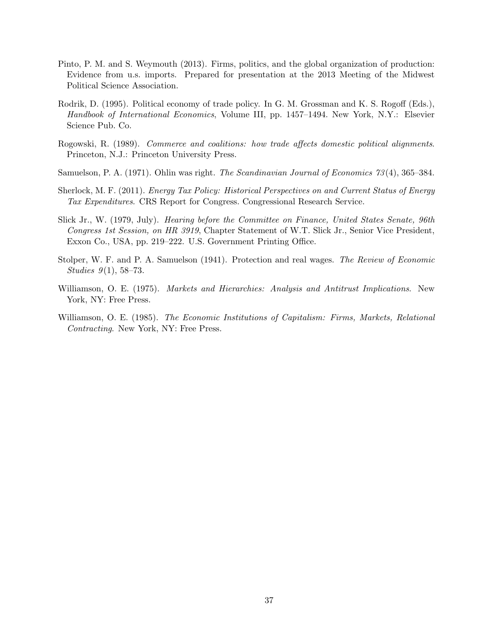- Pinto, P. M. and S. Weymouth (2013). Firms, politics, and the global organization of production: Evidence from u.s. imports. Prepared for presentation at the 2013 Meeting of the Midwest Political Science Association.
- Rodrik, D. (1995). Political economy of trade policy. In G. M. Grossman and K. S. Rogoff (Eds.), Handbook of International Economics, Volume III, pp. 1457–1494. New York, N.Y.: Elsevier Science Pub. Co.
- Rogowski, R. (1989). Commerce and coalitions: how trade affects domestic political alignments. Princeton, N.J.: Princeton University Press.
- Samuelson, P. A. (1971). Ohlin was right. The Scandinavian Journal of Economics 73 (4), 365–384.
- Sherlock, M. F. (2011). Energy Tax Policy: Historical Perspectives on and Current Status of Energy Tax Expenditures. CRS Report for Congress. Congressional Research Service.
- Slick Jr., W. (1979, July). Hearing before the Committee on Finance, United States Senate, 96th Congress 1st Session, on HR 3919, Chapter Statement of W.T. Slick Jr., Senior Vice President, Exxon Co., USA, pp. 219–222. U.S. Government Printing Office.
- Stolper, W. F. and P. A. Samuelson (1941). Protection and real wages. The Review of Economic Studies  $9(1)$ , 58–73.
- Williamson, O. E. (1975). *Markets and Hierarchies: Analysis and Antitrust Implications.* New York, NY: Free Press.
- Williamson, O. E. (1985). The Economic Institutions of Capitalism: Firms, Markets, Relational Contracting. New York, NY: Free Press.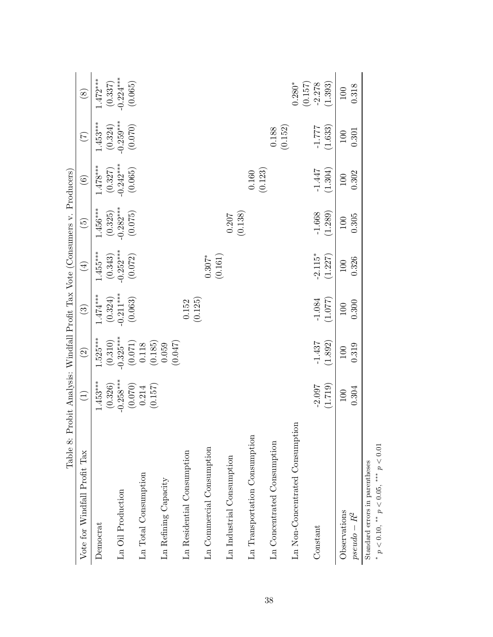| Table 8: Probit Analysis: Windfall Profit Tax Vote (Consumers v. Producers) |                  |                                         |                        |             |               |                  |                 |                        |
|-----------------------------------------------------------------------------|------------------|-----------------------------------------|------------------------|-------------|---------------|------------------|-----------------|------------------------|
| Vote for Windfall Profit Tax                                                | $\left(1\right)$ | $\odot$                                 | $\odot$                | $(\pm)$     | $\widehat{E}$ | $\odot$          | $\widetilde{C}$ | $\circledS$            |
| Democrat                                                                    | $1.453***$       | $1.525***$                              | $1.474***$             | $1.455***$  | $1.456***$    | $1.478***$       | $1.453***$      | $1.472***$             |
|                                                                             | (0.326)          | (0.310)                                 | $(0.324)$<br>-0.211*** | (0.343)     | (0.325)       | (0.327)          | (0.324)         | $(0.337)$<br>-0.224*** |
| Ln Oil Production                                                           | $-0.258***$      | $-0.325***$                             |                        | $-0.252***$ | $-0.282***$   | $-0.242***$      | $-0.259***$     |                        |
|                                                                             | (0.070)          | $\left(0.071\right)$ $\left(118\right)$ | (0.063)                | (0.072)     | (0.075)       | (0.065)          | (0.070)         | (0.065)                |
| Ln Total Consumption                                                        | 0.214            |                                         |                        |             |               |                  |                 |                        |
|                                                                             | (0.157)          | (0.185)                                 |                        |             |               |                  |                 |                        |
| Ln Refining Capacity                                                        |                  | (0.047)<br>0.059                        |                        |             |               |                  |                 |                        |
| Ln Residential Consumption                                                  |                  |                                         | 0.152                  |             |               |                  |                 |                        |
|                                                                             |                  |                                         | (0.125)                |             |               |                  |                 |                        |
| Ln Commercial Consumption                                                   |                  |                                         |                        | $0.307*$    |               |                  |                 |                        |
|                                                                             |                  |                                         |                        | (0.161)     |               |                  |                 |                        |
| Ln Industrial Consumption                                                   |                  |                                         |                        |             | 0.207         |                  |                 |                        |
|                                                                             |                  |                                         |                        |             | (0.138)       |                  |                 |                        |
| Ln Transportation Consumption                                               |                  |                                         |                        |             |               | (0.123)<br>0.160 |                 |                        |
| Ln Concentrated Consumption                                                 |                  |                                         |                        |             |               |                  | 0.188           |                        |
|                                                                             |                  |                                         |                        |             |               |                  | (0.152)         |                        |
| Ln Non-Concentrated Consumption                                             |                  |                                         |                        |             |               |                  |                 | $0.280*$               |
|                                                                             |                  |                                         |                        |             |               |                  |                 | (0.157)                |
| Constant                                                                    | $-2.097$         | $-1.437$                                | $-1.084$               | $-2.115*$   | $-1.668$      | $-1.447$         | $777 - 1$       | $-2.278$               |
|                                                                             | (1.719)          | (1.892)                                 | (1.077)                | (1.227)     | (1.289)       | (1.304)          | (1.633)         | (1.393)                |
| Observations                                                                | 100              | 100                                     | $100\,$                | 100         | 100           | 100              | $100\,$         | 100                    |
| $pseudo-R^2$                                                                | 0.304            | 0.319                                   | 0.300                  | 0.326       | 0.305         | 0.302            | 0.301           | 0.318                  |
| $C_{+}$ and $C_{-}$                                                         |                  |                                         |                        |             |               |                  |                 |                        |

Standard errors in parentheses \*  $p < 0.10$ , \*\*  $p < 0.05$ , \*\*\*  $p < 0.01$ 

∗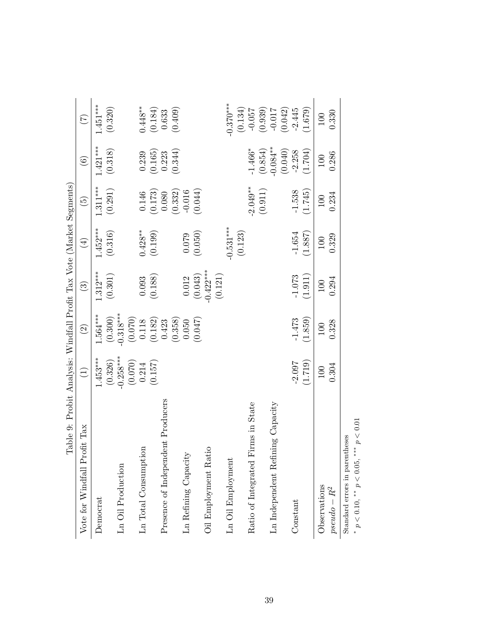| Table 9: Probit Analysis: Windfall Profit Tax Vote (Market Segments) |                  |                                           |                        |             |                 |               |                  |
|----------------------------------------------------------------------|------------------|-------------------------------------------|------------------------|-------------|-----------------|---------------|------------------|
| Vote for Windfall Profit Tax                                         | $\left(1\right)$ | $\widehat{2}$                             | $\widehat{\mathbf{c}}$ | $(\pm)$     | $\widetilde{5}$ | $\widehat{6}$ | $(\overline{z})$ |
| Democrat                                                             | $1.453***$       | 1.564***                                  | $1.312***$             | $1.452***$  | $1.311***$      | $1.421***$    | $1.451***$       |
|                                                                      | (0.326)          | (0.300)                                   | $\left( 0.301\right)$  | (0.316)     | (0.291)         | (0.318)       | (0.320)          |
| Ln Oil Production                                                    | $-0.258***$      | $-0.318***$                               |                        |             |                 |               |                  |
|                                                                      | (0.070)          |                                           |                        |             |                 |               |                  |
| Ln Total Consumption                                                 | 0.214            | $\left(0.070\right)$ $\left(0.118\right)$ | 0.093                  | $0.428**$   | $0.146\,$       | 0.239         | $0.448***$       |
|                                                                      | (0.157)          | $\left(0.182\right)$ $\left(0.423\right)$ | (0.188)                | (0.199)     | (0.173)         | (0.165)       | (0.184)          |
| Presence of Independent Producers                                    |                  |                                           |                        |             | 0.080           | 0.223         | 0.633            |
|                                                                      |                  | (0.358)                                   |                        |             | (0.332)         | (0.344)       | (0.409)          |
| Ln Refining Capacity                                                 |                  | 0.050                                     | 0.012                  | 0.079       | $-0.016$        |               |                  |
|                                                                      |                  | (0.047)                                   | (0.043)                | (0.050)     | (0.044)         |               |                  |
| Oil Employment Ratio                                                 |                  |                                           | $-0.422***$            |             |                 |               |                  |
|                                                                      |                  |                                           | (0.121)                |             |                 |               |                  |
| Ln Oil Employment                                                    |                  |                                           |                        | $-0.531***$ |                 |               | $-0.370***$      |
|                                                                      |                  |                                           |                        | (0.123)     |                 |               | (0.134)          |
| Firms in State<br>Ratio of Integrated                                |                  |                                           |                        |             | $-2.049***$     | $-1.466*$     | $-0.057$         |
|                                                                      |                  |                                           |                        |             | (0.911)         | (0.854)       | (0.939)          |
| Ln Independent Refining Capacity                                     |                  |                                           |                        |             |                 | $-0.084***$   | $-0.017$         |
|                                                                      |                  |                                           |                        |             |                 | (0.040)       | (0.042)          |
| Constant                                                             | $-2.097$         | $-1.473$                                  | $-1.073$               | $-1.654$    | $-1.538$        | $-2.258$      | $-2.445$         |
|                                                                      | (1.719)          | (1.859)                                   | (1.911)                | (1.887)     | (1.745)         | (1.704)       | (1.679)          |
| Observations                                                         | 100              | 100                                       | 100                    | 100         | 100             | 100           | 100              |
| $pseudo - R^2$                                                       | 0.304            | 0.328                                     | 0.294                  | 0.329       | 0.234           | 0.286         | 0.330            |
| Standard errors in parentheses                                       |                  |                                           |                        |             |                 |               |                  |

Standard errors in parentheses  $\mathbf{r}$ 

 $*$   $p<0.10,$   $^{**}$   $p<0.05,$   $^{***}$   $p<0.01$ \*  $p < 0.10$ , \*\*  $p < 0.05$ , \*\*\*  $p < 0.01$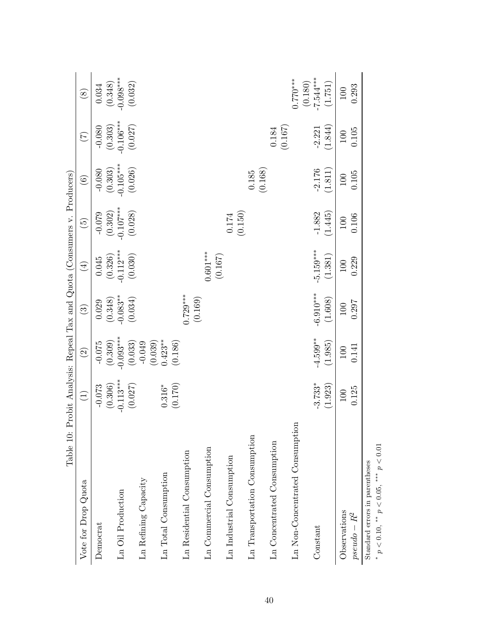| Table 10:                       | Probit Analysis: Repeal Tax and Quota (Consumers v. Producers) |               |                       |             |                      |                  |                 |                       |
|---------------------------------|----------------------------------------------------------------|---------------|-----------------------|-------------|----------------------|------------------|-----------------|-----------------------|
| Vote for Drop Quota             | $\bigoplus$                                                    | $\widehat{c}$ | $\odot$               | $\bigoplus$ | $\widetilde{\Theta}$ | $\odot$          | $\widetilde{C}$ | $\circledS$           |
| Democrat                        | $-0.073$                                                       | $-0.075$      | 0.029                 | 0.045       | $-0.079$             | $-0.080$         | $-0.080$        | 0.034                 |
|                                 | (0.306)                                                        | (0.309)       | (0.348)               | (0.326)     | (0.302)              | (0.303)          | (0.303)         | (0.348)               |
| Ln Oil Production               | $-0.113***$                                                    | $-0.093***$   | $-0.083**$            | $-0.112***$ | $-0.107***$          | $-0.105***$      | $-0.106***$     | $-0.098***$           |
|                                 | (0.027)                                                        | (0.033)       | (0.034)               | (0.030)     | (0.028)              | (0.026)          | (0.027)         | (0.032)               |
| Ln Refining Capacity            |                                                                | $-0.049$      |                       |             |                      |                  |                 |                       |
|                                 |                                                                | (0.039)       |                       |             |                      |                  |                 |                       |
| Ln Total Consumption            | $0.316*$                                                       | $0.423**$     |                       |             |                      |                  |                 |                       |
|                                 | (0.170)                                                        | (0.186)       |                       |             |                      |                  |                 |                       |
| Ln Residential Consumption      |                                                                |               | $0.729***$<br>(0.169) |             |                      |                  |                 |                       |
| Ln Commercial Consumption       |                                                                |               |                       | $0.601***$  |                      |                  |                 |                       |
|                                 |                                                                |               |                       | (0.167)     |                      |                  |                 |                       |
| Ln Industrial Consumption       |                                                                |               |                       |             | 0.174                |                  |                 |                       |
|                                 |                                                                |               |                       |             | (0.150)              |                  |                 |                       |
| Ln Transportation Consumption   |                                                                |               |                       |             |                      | (0.168)<br>0.185 |                 |                       |
| Ln Concentrated Consumption     |                                                                |               |                       |             |                      |                  | $0.184\,$       |                       |
|                                 |                                                                |               |                       |             |                      |                  | (0.167)         |                       |
| Ln Non-Concentrated Consumption |                                                                |               |                       |             |                      |                  |                 | $0.770***$<br>(0.180) |
| Constant                        | $-3.733*$                                                      | $-4.599***$   | $-6.910***$           | $-5.159***$ | $-1.882$             | $-2.176$         | $-2.221$        | $-7.544***$           |
|                                 | (1.923)                                                        | (1.985)       | (1.608)               | (1.381)     | (1.445)              | (1.811)          | (1.844)         | (1.751)               |
| Observations                    | 100                                                            | 100           | 100                   | 100         | 100                  | 100              | 100             | 100                   |
| $pseudo - R^2$                  | 0.125                                                          | 0.141         | 0.297                 | 0.229       | 0.106                | 0.105            | 0.105           | 0.293                 |
| Standard errors in parentheses  |                                                                |               |                       |             |                      |                  |                 |                       |

∗

\*  $p < 0.10$ , \*\*  $p < 0.05$ , \*\*\*  $p < 0.01$ 

40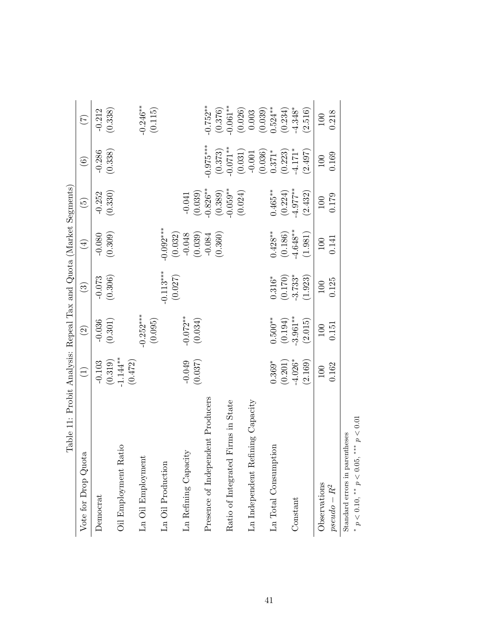| Table 11: Probit Analysis: Repeal Tax and Quota (Market Segments) |                       |                    |                        |                              |                       |                        |                       |
|-------------------------------------------------------------------|-----------------------|--------------------|------------------------|------------------------------|-----------------------|------------------------|-----------------------|
| Vote for Drop Quota                                               | $\widehat{\Xi}$       | $\widehat{\Omega}$ | $\widehat{\mathbf{c}}$ | $\left( \frac{4}{2} \right)$ | $\widetilde{5}$       | $\widehat{\mathbf{e}}$ | $\widetilde{C}$       |
| Democrat                                                          | $-0.103$              | $-0.036$           | $-0.073$               | $-0.080$                     | $-0.252$              | $-0.286$               | $-0.212$              |
|                                                                   | $(0.319)$<br>-1.144** | (0.301)            | (0.306)                | (0.309)                      | (0.330)               | (0.338)                | (0.338)               |
| Oil Employment Ratio                                              |                       |                    |                        |                              |                       |                        |                       |
|                                                                   | (0.472)               |                    |                        |                              |                       |                        |                       |
| Ln Oil Employment                                                 |                       | $-0.252***$        |                        |                              |                       |                        | $-0.246**$            |
|                                                                   |                       | (0.095)            |                        |                              |                       |                        | (0.115)               |
| Ln Oil Production                                                 |                       |                    | $-0.113***$            | $-0.092***$                  |                       |                        |                       |
|                                                                   |                       |                    | (0.027)                | (0.032)                      |                       |                        |                       |
| Ln Refining Capacity                                              | $-0.049$              | $-0.072**$         |                        | $-0.048$                     | $-0.041$              |                        |                       |
|                                                                   | (0.037)               | (0.034)            |                        | (0.039)                      | (0.039)               |                        |                       |
| Presence of Independent Producers                                 |                       |                    |                        | $-0.084$                     | $-0.826***$           | $0.975***$             | $-0.752**$            |
|                                                                   |                       |                    |                        | (0.360)                      | $(0.389)$<br>-0.059** | $(0.373)$<br>-0.071**  | $(0.376)$<br>-0.061** |
| Ratio of Integrated Firms in State                                |                       |                    |                        |                              |                       |                        |                       |
|                                                                   |                       |                    |                        |                              | (0.024)               | (0.031)                | (0.026)               |
| Ln Independent Refining Capacity                                  |                       |                    |                        |                              |                       | $-0.001$               | 0.003                 |
|                                                                   |                       |                    |                        |                              |                       | (0.036)                | $(0.039)$<br>0.524**  |
| Ln Total Consumption                                              | $0.369*$              | $0.500***$         | $0.316*$               | $0.428***$                   | $0.465***$            | $0.371*$               |                       |
|                                                                   | (0.201)               | (0.194)            | (0.170)                | $(0.186)$<br>-4.648**        | $(0.224)$<br>-4.977** | $(0.223)$<br>-4.171*   | $(0.234)$<br>-4.348*  |
| Constant                                                          | $-4.026*$             | $-3.961***$        | $-3.733*$              |                              |                       |                        |                       |
|                                                                   | (2.169)               | (2.015)            | (1.923)                | (1.981)                      | (2.432)               | (2.497)                | (2.516)               |
| Observations                                                      | 100                   | 100                | 100                    | 100                          | 100                   | 100                    | 100                   |
| $pseudo - R^2$                                                    | 0.162                 | 0.151              | 0.125                  | 0.141                        | 0.179                 | 0.169                  | 0.218                 |
| Standard errors in parentheses                                    |                       |                    |                        |                              |                       |                        |                       |

 $*$   $p$   $<$  0.10,  ${}^{\ast\ast}$   $p$   $<$  0.05,  ${}^{\ast\ast\ast}$   $p$   $<$  0.01 \*  $p < 0.10$ , \*\*  $p < 0.05$ , \*\*\*  $p < 0.01$